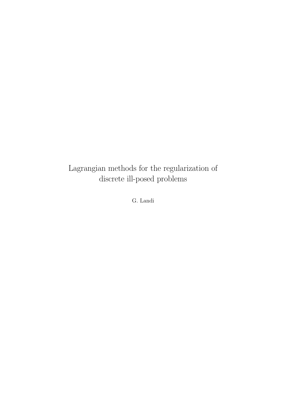### Lagrangian methods for the regularization of discrete ill-posed problems

G. Landi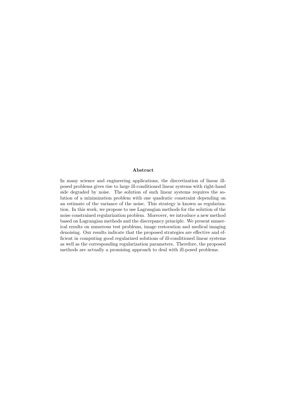#### Abstract

In many science and engineering applications, the discretization of linear illposed problems gives rise to large ill-conditioned linear systems with right-hand side degraded by noise. The solution of such linear systems requires the solution of a minimization problem with one quadratic constraint depending on an estimate of the variance of the noise. This strategy is known as regularization. In this work, we propose to use Lagrangian methods for the solution of the noise constrained regularization problem. Moreover, we introduce a new method based on Lagrangian methods and the discrepancy principle. We present numerical results on numerous test problems, image restoration and medical imaging denoising. Our results indicate that the proposed strategies are effective and efficient in computing good regularized solutions of ill-conditioned linear systems as well as the corresponding regularization parameters. Therefore, the proposed methods are actually a promising approach to deal with ill-posed problems.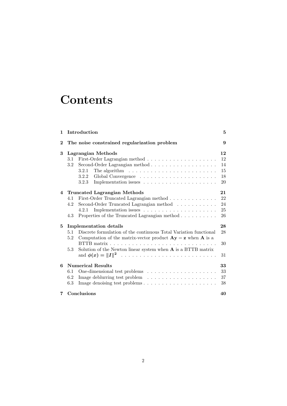## **Contents**

| $\mathbf{1}$   | Introduction                                                                                                                                                                                                                                                                                     | 5                                |
|----------------|--------------------------------------------------------------------------------------------------------------------------------------------------------------------------------------------------------------------------------------------------------------------------------------------------|----------------------------------|
| $\bf{2}$       | The noise constrained regularization problem                                                                                                                                                                                                                                                     | 9                                |
| 3              | Lagrangian Methods<br>3.1<br>3.2<br>The algorithm $\ldots \ldots \ldots \ldots \ldots \ldots \ldots \ldots$<br>3.2.1<br>3.2.2<br>3.2.3                                                                                                                                                           | 12<br>12<br>14<br>15<br>18<br>20 |
| $\overline{4}$ | <b>Truncated Lagrangian Methods</b><br>First-Order Truncated Lagrangian method<br>4.1<br>Second-Order Truncated Lagrangian method<br>4.2<br>Implementation issues $\dots \dots \dots \dots \dots \dots \dots$<br>4.2.1<br>Properties of the Truncated Lagrangian method<br>4.3                   | 21<br>22<br>24<br>25<br>26       |
| 5              | <b>Implementation details</b><br>5.1<br>Discrete formulation of the continuous Total Variation functional<br>Computation of the matrix-vector product $\mathbf{A}\mathbf{y} = \mathbf{z}$ when $\mathbf{A}$ is a<br>5.2<br>Solution of the Newton linear system when $A$ is a BTTB matrix<br>5.3 | 28<br>28<br>30<br>31             |
| 6              | <b>Numerical Results</b><br>6.1<br>6.2<br>6.3                                                                                                                                                                                                                                                    | 33<br>33<br>37<br>38             |
| 7              | Conclusions                                                                                                                                                                                                                                                                                      | 40                               |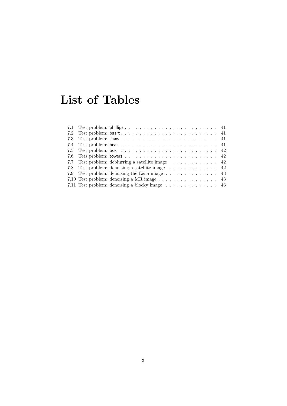# List of Tables

|  | 7.7 Test problem: deblurring a satellite image  42                          |  |
|--|-----------------------------------------------------------------------------|--|
|  | 7.8 Test problem: denoising a satellite image 42                            |  |
|  | 7.9 Test problem: denoising the Lena image $\ldots \ldots \ldots \ldots$ 43 |  |
|  | 7.10 Test problem: denoising a MR image 43                                  |  |
|  |                                                                             |  |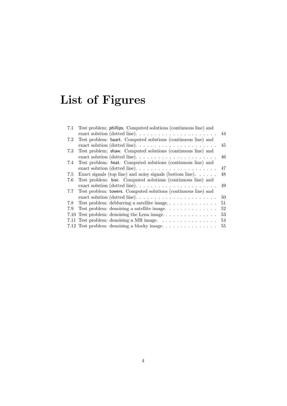# List of Figures

| 7.1 | Test problem: phillips. Computed solutions (continuous line) and                 |    |
|-----|----------------------------------------------------------------------------------|----|
|     |                                                                                  | 44 |
| 7.2 | Test problem: baart. Computed solutions (continuous line) and                    |    |
|     | exact solution (dotted line). $\ldots \ldots \ldots \ldots \ldots \ldots \ldots$ | 45 |
| 7.3 | Test problem: shaw. Computed solutions (continuous line) and                     |    |
|     |                                                                                  | 46 |
| 7.4 | Test problem: heat. Computed solutions (continuous line) and                     |    |
|     | exact solution (dotted line). $\dots \dots \dots \dots \dots \dots \dots \dots$  | 47 |
| 7.5 | Exact signals (top line) and noisy signals (bottom line). $\dots$ .              | 48 |
| 7.6 | Test problem: box. Computed solutions (continuous line) and                      |    |
|     | exact solution (dotted line). $\ldots \ldots \ldots \ldots \ldots \ldots \ldots$ | 49 |
| 7.7 | Test problem: towers. Computed solutions (continuous line) and                   |    |
|     |                                                                                  | 50 |
| 7.8 |                                                                                  | 51 |
| 7.9 | Test problem: denoising a satellite image.                                       | 52 |
|     |                                                                                  | 53 |
|     | 7.11 Test problem: denoising a MR image.                                         | 54 |
|     | 7.12 Test problem: denoising a blocky image                                      | 55 |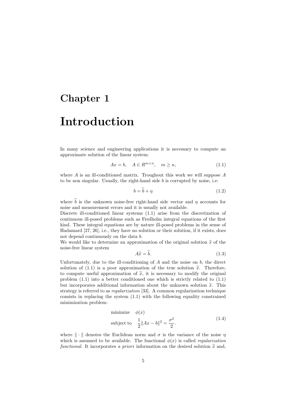### Chapter 1

### Introduction

In many science and engineering applications it is necessary to compute an approximate solution of the linear system:

$$
Ax = b, \quad A \in R^{m \times n}, \quad m \ge n,
$$
\n<sup>(1.1)</sup>

where  $A$  is an ill-conditioned matrix. Troughout this work we will suppose  $A$ to be non singular. Usually, the right-hand side  $b$  is corrupted by noise, i.e:

$$
b = b + \eta \tag{1.2}
$$

where b is the unknown noise-free right-hand side vector and  $\eta$  accounts for noise and measurement errors and it is usually not available.

Discrete ill-conditioned linear systems (1.1) arise from the discretization of continuous ill-posed problems such as Fredholm integral equations of the first kind. These integral equations are by nature ill-posed problems in the sense of Hadamard [27, 26], i.e., they have no solution or their solution, if it exists, does not depend continuously on the data b.

We would like to determine an approximation of the original solution  $\tilde{x}$  of the noise-free linear system

$$
A\widetilde{x} = b.\t\t(1.3)
$$

Unfortunately, due to the ill-conditioning of  $A$  and the noise on  $b$ , the direct solution of (1.1) is a poor approximation of the true solution  $\tilde{x}$ . Therefore, to compute useful approximation of  $\tilde{x}$ , it is necessary to modify the original problem (1.1) into a better conditioned one which is strictly related to (1.1) but incorporates additional information about the unknown solution  $\tilde{x}$ . This strategy is referred to as regularization [33]. A common regularization technique consists in replacing the system (1.1) with the following equality constrained minimization problem:

minimize 
$$
\phi(x)
$$
  
subject to  $\frac{1}{2} ||Ax - b||^2 = \frac{\sigma^2}{2}$ . (1.4)

where  $\|\cdot\|$  denotes the Euclidean norm and  $\sigma$  is the variance of the noise  $\eta$ which is assumed to be available. The functional  $\phi(x)$  is called *regularization* functional. It incorporates a priori information on the desired solution  $\tilde{x}$  and,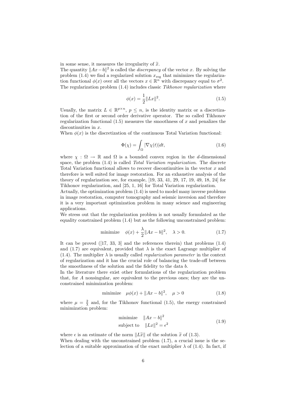in some sense, it measures the irregularity of  $\tilde{x}$ .

The quantity  $||Ax - b||^2$  is called the *discrepancy* of the vector x. By solving the problem (1.4) we find a regularized solution  $x_{\text{reg}}$  that minimizes the regularization functional  $\phi(x)$  over all the vectors  $x \in \mathbb{R}^n$  with discrepancy equal to  $\sigma^2$ . The regularization problem  $(1.4)$  includes classic Tikhonov regularization where

$$
\phi(x) = \frac{1}{2} \|Lx\|^2. \tag{1.5}
$$

Usually, the matrix  $L \in \mathbb{R}^{p \times n}$ ,  $p \leq n$ , is the identity matrix or a discretization of the first or second order derivative operator. The so called Tikhonov regularization functional  $(1.5)$  measures the smoothness of x and penalizes the discontinuities in x.

When  $\phi(x)$  is the discretization of the continuous Total Variation functional:

$$
\Phi(\chi) = \int_{\Omega} |\nabla \chi(t)| dt, \qquad (1.6)
$$

where  $\chi : \Omega \to \mathbb{R}$  and  $\Omega$  is a bounded convex region in the d-dimensional space, the problem (1.4) is called Total Variation regularization. The discrete Total Variation functional allows to recover discontinuities in the vector  $x$  and therefore is well suited for image restoration. For an exhaustive analysis of the theory of regularization see, for example, [19, 33, 41, 29, 17, 19, 49, 18, 24] for Tikhonov regularization, and [25, 1, 16] for Total Variation regularization.

Actually, the optimization problem (1.4) is used to model many inverse problems in image restoration, computer tomography and seismic inversion and therefore it is a very important optimization problem in many science and engineering applications.

We stress out that the regularization problem is not usually formulated as the equality constrained problem (1.4) but as the following unconstrained problem:

minimize 
$$
\phi(x) + \frac{\lambda}{2} ||Ax - b||^2
$$
,  $\lambda > 0$ . (1.7)

It can be proved  $(17, 33, 3)$  and the references therein) that problems  $(1.4)$ and (1.7) are equivalent, provided that  $\lambda$  is the exact Lagrange multiplier of (1.4). The multiplier  $\lambda$  is usually called *regularization parameter* in the context of regularization and it has the crucial role of balancing the trade-off between the smoothness of the solution and the fidelity to the data b.

In the literature there exist other formulations of the regularization problem that, for A nonsingular, are equivalent to the previous ones; they are the unconstrained minimization problem:

minimize 
$$
\mu \phi(x) + ||Ax - b||^2
$$
,  $\mu > 0$  (1.8)

where  $\mu = \frac{2}{\lambda}$  and, for the Tikhonov functional (1.5), the energy constrained minimization problem:

minimize 
$$
||Ax - b||^2
$$
  
subject to  $||Lx||^2 = \epsilon^2$  (1.9)

where  $\epsilon$  is an estimate of the norm  $\Vert L\tilde{x} \Vert$  of the solution  $\tilde{x}$  of (1.3). When dealing with the unconstrained problem  $(1.7)$ , a crucial issue is the selection of a suitable approximation of the exact multiplier  $\lambda$  of (1.4). In fact, if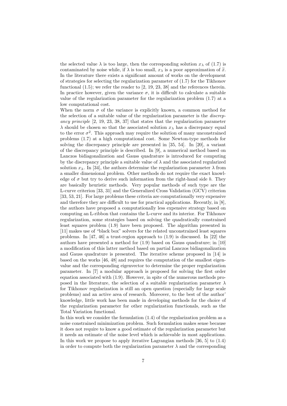the selected value  $\lambda$  is too large, then the corresponding solution  $x_{\lambda}$  of (1.7) is contaminated by noise while, if  $\lambda$  is too small,  $x_{\lambda}$  is a poor approximation of  $\tilde{x}$ . In the literature there exists a significant amount of works on the development of strategies for selecting the regularization parameter of  $(1.7)$  for the Tikhonov functional (1.5); we refer the reader to [2, 19, 23, 38] and the references therein. In practice however, given the variance  $\sigma$ , it is difficult to calculate a suitable value of the regularization parameter for the regularization problem (1.7) at a low computational cost.

When the norm  $\sigma$  of the variance is explicitly known, a common method for the selection of a suitable value of the regularization parameter is the *discrep*ancy principle [2, 19, 23, 38, 37] that states that the regularization parameter  $\lambda$  should be chosen so that the associated solution  $x_{\lambda}$  has a discrepancy equal to the error  $\sigma^2$ . This approach may require the solution of many unconstrained problems (1.7) at a high computational cost. Some Newton-type methods for solving the discrepancy principle are presented in [35, 54]. In [20], a variant of the discrepancy principle is described. In [9], a numerical method based on Lanczos bidiagonalization and Gauss quadrature is introduced for computing by the discrepancy principle a suitable value of  $\lambda$  and the associated regularized solution  $x_{\lambda}$ . In [34], the authors determine the regularization parameter  $\lambda$  from a smaller dimensional problem. Other methods do not require the exact knowledge of  $\sigma$  but try to derive such information from the right-hand side b. They are basically heuristic methods. Very popular methods of such type are the L-curve criterion [33, 31] and the Generalized Cross Validation (GCV) criterion [33, 53, 21]. For large problems these criteria are computationally very expensive and therefore they are difficult to use for practical applications. Recently, in [8], the authors have proposed a computationally less expensive strategy based on computing an L-ribbon that contains the L-curve and its interior. For Tikhonov regularization, some strategies based on solving the quadratically constrained least squares problem (1.9) have been proposed. The algorithm presented in [11] makes use of "black box" solvers for the related unconstrained least squares problems. In [47, 46] a trust-region approach to  $(1.9)$  is discussed. In [22] the authors have presented a method for (1.9) based on Gauss quadrature; in [10] a modification of this latter method based on partial Lanczos bidiagonalization and Gauss quadrature is presented. The iterative scheme proposed in [14] is based on the works [46, 48] and requires the computation of the smallest eigenvalue and the corresponding eigenvector to determine the proper regularization parameter. In [7] a modular approach is proposed for solving the first order equation associated with (1.9). However, in spite of the numerous methods proposed in the literature, the selection of a suitable regularization parameter  $\lambda$ for Tikhonov regularization is still an open question (especially for large scale problems) and an active area of research. Moreover, to the best of the author' knowledge, little work has been made in developing methods for the choice of the regularization parameter for other regularization functionals, such as the Total Variation functional.

In this work we consider the formulation (1.4) of the regularization problem as a noise constrained minimization problem. Such formulation makes sense because it does not require to know a good estimate of the regularization parameter but it needs an estimate of the noise level which is achievable in most applications. In this work we propose to apply iterative Lagrangian methods [36, 5] to (1.4) in order to compute both the regularization parameter  $\lambda$  and the corresponding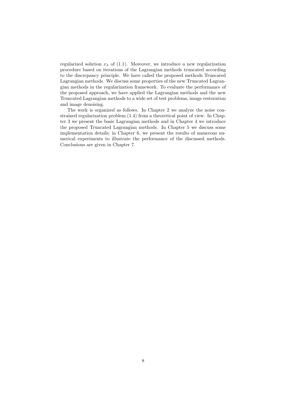regularized solution  $x_{\lambda}$  of (1.1). Moreover, we introduce a new regularization procedure based on iterations of the Lagrangian methods truncated according to the discrepancy principle. We have called the proposed methods Truncated Lagrangian methods. We discuss some properties of the new Truncated Lagrangian methods in the regularization framework. To evaluate the performance of the proposed approach, we have applied the Lagrangian methods and the new Truncated Lagrangian methods to a wide set of test problems, image restoration and image denoising.

The work is organized as follows. In Chapter 2 we analyze the noise constrained regularization problem (1.4) from a theoretical point of view. In Chapter 3 we present the basic Lagrangian methods and in Chapter 4 we introduce the proposed Truncated Lagrangian methods. In Chapter 5 we discuss some implementation details; in Chapter 6, we present the results of numerous numerical experiments to illustrate the performance of the discussed methods. Conclusions are given in Chapter 7.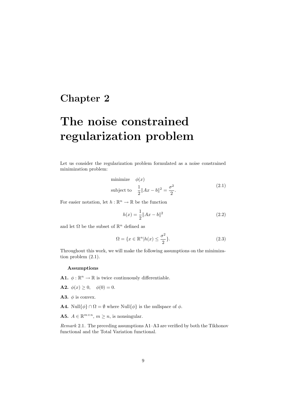### Chapter 2

# The noise constrained regularization problem

Let us consider the regularization problem formulated as a noise constrained minimization problem:

minimize 
$$
\phi(x)
$$
  
subject to  $\frac{1}{2} ||Ax - b||^2 = \frac{\sigma^2}{2}$ . (2.1)

For easier notation, let  $h:\mathbb{R}^n\to\mathbb{R}$  be the function

$$
h(x) = \frac{1}{2} ||Ax - b||^2
$$
 (2.2)

and let  $\Omega$  be the subset of  $\mathbb{R}^n$  defined as

$$
\Omega = \{ x \in \mathbb{R}^n | h(x) \le \frac{\sigma^2}{2} \}. \tag{2.3}
$$

Throughout this work, we will make the following assumptions on the minimization problem (2.1).

#### Assumptions

**A1.**  $\phi : \mathbb{R}^n \to \mathbb{R}$  is twice continuously differentiable.

- **A2.**  $\phi(x) \ge 0$ ,  $\phi(0) = 0$ .
- **A3.**  $\phi$  is convex.
- **A4.** Null $\{\phi\} \cap \Omega = \emptyset$  where Null $\{\phi\}$  is the nullspace of  $\phi$ .
- **A5.**  $A \in \mathbb{R}^{m \times n}$ ,  $m \ge n$ , is nonsingular.

Remark 2.1. The preceding assumptions A1–A3 are verified by both the Tikhonov functional and the Total Variation functional.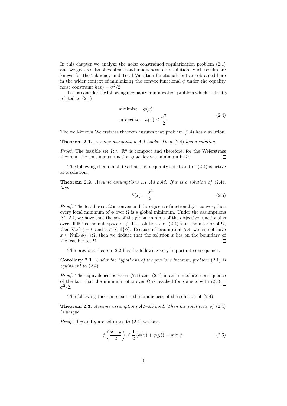In this chapter we analyze the noise constrained regularization problem (2.1) and we give results of existence and uniqueness of its solution. Such results are known for the Tikhonov and Total Variation functionals but are obtained here in the wider context of minimizing the convex functional  $\phi$  under the equality noise constraint  $h(x) = \sigma^2/2$ .

Let us consider the following inequality minimization problem which is strictly related to (2.1)

minimize 
$$
\phi(x)
$$
  
subject to  $h(x) \le \frac{\sigma^2}{2}$ . (2.4)

The well-known Weierstrass theorem ensures that problem (2.4) has a solution.

Theorem 2.1. Assume assumption A.1 holds. Then  $(2.4)$  has a solution.

*Proof.* The feasible set  $\Omega \subset \mathbb{R}^n$  is compact and therefore, for the Weierstrass theorem, the continuous function  $\phi$  achieves a minimum in  $\Omega$ .  $\Box$ 

The following theorem states that the inequality constraint of  $(2.4)$  is active at a solution.

**Theorem 2.2.** Assume assumptions  $A1-A4$  hold. If x is a solution of  $(2.4)$ , then

$$
h(x) = \frac{\sigma^2}{2}.\tag{2.5}
$$

*Proof.* The feasible set  $\Omega$  is convex and the objective functional  $\phi$  is convex; then every local minimum of  $\phi$  over  $\Omega$  is a global minimum. Under the assumptions A1–A4, we have that the set of the global minima of the objective functional  $\phi$ over all  $\mathbb{R}^n$  is the null space of  $\phi$ . If a solution x of (2.4) is in the interior of  $\Omega$ , then  $\nabla \phi(x) = 0$  and  $x \in \text{Null}\{\phi\}$ . Because of assumption A.4, we cannot have  $x \in Null{\phi} \cap \Omega$ , then we deduce that the solution x lies on the boundary of the feasible set  $\Omega$ . the feasible set  $\Omega$ .

The previous theorem 2.2 has the following very important consequence.

Corollary 2.1. Under the hypothesis of the previous theorem, problem (2.1) is equivalent to (2.4).

*Proof.* The equivalence between  $(2.1)$  and  $(2.4)$  is an immediate consequence of the fact that the minimum of  $\phi$  over  $\Omega$  is reached for some x with  $h(x) =$  $\sigma^2/2$ .  $\Box$ 

The following theorem ensures the uniqueness of the solution of (2.4).

**Theorem 2.3.** Assume assumptions  $A1-A5$  hold. Then the solution x of  $(2.4)$ is unique.

*Proof.* If x and y are solutions to  $(2.4)$  we have

$$
\phi\left(\frac{x+y}{2}\right) \le \frac{1}{2} \left(\phi(x) + \phi(y)\right) = \min \phi.
$$
\n(2.6)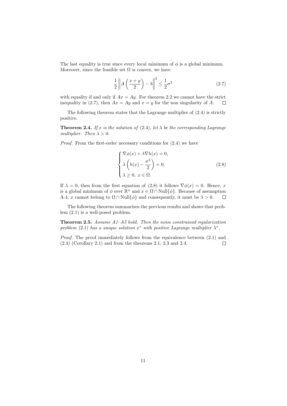The last equality is true since every local minimum of  $\phi$  is a global minimum. Moreover, since the feasible set  $\Omega$  is convex, we have

$$
\frac{1}{2} \left\| A \left( \frac{x+y}{2} \right) - b \right\|^2 \le \frac{1}{2} \sigma^2 \tag{2.7}
$$

with equality if and only if  $Ax = Ay$ . For theorem 2.2 we cannot have the strict inequality in (2.7), then  $Ax = Ay$  and  $x = y$  for the non singularity of A.  $\Box$ 

The following theorem states that the Lagrange multiplier of (2.4) is strictly positive.

**Theorem 2.4.** If x is the solution of (2.4), let  $\lambda$  be the corresponding Lagrange multiplier. Then  $\lambda > 0$ .

Proof. From the first-order necessary conditions for (2.4) we have

$$
\begin{cases}\n\nabla \phi(x) + \lambda \nabla h(x) = 0, \\
\lambda \left( h(x) - \frac{\sigma^2}{2} \right) = 0, \\
\lambda \ge 0, \ x \in \Omega.\n\end{cases}
$$
\n(2.8)

If  $\lambda = 0$ , then from the first equation of (2.8) it follows  $\nabla \phi(x) = 0$ . Hence, x is a global minimum of  $\phi$  over  $\mathbb{R}^n$  and  $x \in \Omega \cap \text{Null}\{\phi\}$ . Because of assumption A.4, x cannot belong to  $\Omega \cap \text{Null}\{\phi\}$  and consequently, it must be  $\lambda > 0$ .

The following theorem summarizes the previous results and shows that problem (2.1) is a well-posed problem.

Theorem 2.5. Assume A1-A5 hold. Then the noise constrained regularization problem (2.1) has a unique solution  $x^*$  with positive Lagrange multiplier  $\lambda^*$ .

Proof. The proof immediately follows from the equivalence between  $(2.1)$  and (2.4) (Corollary 2.1) and from the theorems 2.1, 2.3 and 2.4.  $\Box$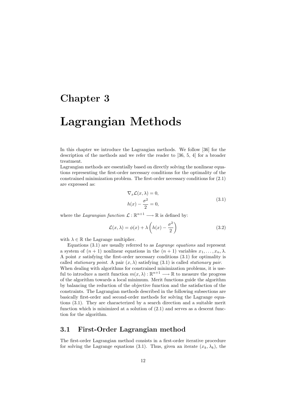### Chapter 3

## Lagrangian Methods

In this chapter we introduce the Lagrangian methods. We follow [36] for the description of the methods and we refer the reader to [36, 5, 4] for a broader treatment.

Lagrangian methods are essentially based on directly solving the nonlinear equations representing the first-order necessary conditions for the optimality of the constrained minimization problem. The first-order necessary conditions for (2.1) are expressed as:

$$
\nabla_x \mathcal{L}(x, \lambda) = 0,
$$
  
\n
$$
h(x) - \frac{\sigma^2}{2} = 0,
$$
\n(3.1)

where the *Lagrangian function*  $\mathcal{L} : \mathbb{R}^{n+1} \longrightarrow \mathbb{R}$  is defined by:

$$
\mathcal{L}(x,\lambda) = \phi(x) + \lambda \left( h(x) - \frac{\sigma^2}{2} \right) \tag{3.2}
$$

with  $\lambda \in \mathbb{R}$  the Lagrange multiplier.

Equations (3.1) are usually referred to as Lagrange equations and represent a system of  $(n + 1)$  nonlinear equations in the  $(n + 1)$  variables  $x_1, \ldots, x_n, \lambda$ . A point x satisfying the first-order necessary conditions  $(3.1)$  for optimality is called *stationary point*. A pair  $(x, \lambda)$  satisfying (3.1) is called *stationary pair*. When dealing with algorithms for constrained minimization problems, it is useful to introduce a merit function  $m(x, \lambda) : \mathbb{R}^{n+1} \longrightarrow \mathbb{R}$  to measure the progress of the algorithm towards a local minimum. Merit functions guide the algorithm by balancing the reduction of the objective function and the satisfaction of the constraints. The Lagrangian methods described in the following subsections are basically first-order and second-order methods for solving the Lagrange equations (3.1). They are characterized by a search direction and a suitable merit function which is minimized at a solution of  $(2.1)$  and serves as a descent function for the algorithm.

#### 3.1 First-Order Lagrangian method

The first-order Lagrangian method consists in a first-order iterative procedure for solving the Lagrange equations (3.1). Thus, given an iterate  $(x_k, \lambda_k)$ , the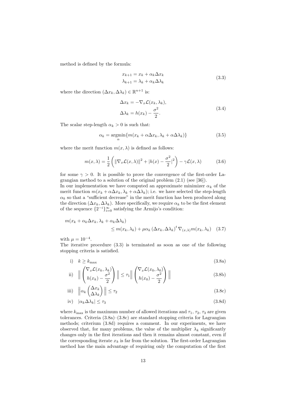method is defined by the formula:

$$
x_{k+1} = x_k + \alpha_k \Delta x_k
$$
  
\n
$$
\lambda_{k+1} = \lambda_k + \alpha_k \Delta \lambda_k
$$
\n(3.3)

where the direction  $(\Delta x_k, \Delta \lambda_k) \in \mathbb{R}^{n+1}$  is:

$$
\Delta x_k = -\nabla_x \mathcal{L}(x_k, \lambda_k),
$$
  
\n
$$
\Delta \lambda_k = h(x_k) - \frac{\sigma^2}{2}.
$$
\n(3.4)

The scalar step-length  $\alpha_k > 0$  is such that:

$$
\alpha_k = \underset{\alpha}{\operatorname{argmin}} \{ m(x_k + \alpha \Delta x_k, \lambda_k + \alpha \Delta \lambda_k) \}
$$
(3.5)

where the merit function  $m(x, \lambda)$  is defined as follows:

$$
m(x,\lambda) = \frac{1}{2} \left( \|\nabla_x \mathcal{L}(x,\lambda)\|^2 + |h(x) - \frac{\sigma^2}{2}|^2 \right) - \gamma \mathcal{L}(x,\lambda)
$$
 (3.6)

for some  $\gamma > 0$ . It is possible to prove the convergence of the first-order Lagrangian method to a solution of the original problem (2.1) (see [36]).

In our implementation we have computed an approximate minimizer  $\alpha_k$  of the merit function  $m(x_k + \alpha \Delta x_k, \lambda_k + \alpha \Delta \lambda_k)$ ; i.e. we have selected the step-length  $\alpha_k$  so that a "sufficient decrease" in the merit function has been produced along the direction  $(\Delta x_k, \Delta \lambda_k)$ . More specifically, we require  $\alpha_k$  to be the first element of the sequence  $\{2^{-i}\}_{i=0}^{\infty}$  satisfying the Armijo's condition:

$$
m(x_k + \alpha_k \Delta x_k, \lambda_k + \alpha_k \Delta \lambda_k)
$$
  
\n
$$
\leq m(x_k, \lambda_k) + \mu \alpha_k (\Delta x_k, \Delta \lambda_k)^t \nabla_{(x, \lambda)} m(x_k, \lambda_k)
$$
 (3.7)

with  $\mu = 10^{-4}$ .

The iterative procedure (3.3) is terminated as soon as one of the following stopping criteria is satisfied.

i) 
$$
k \ge k_{\text{max}}
$$
 (3.8a)  
 $(\nabla_{\alpha} \mathcal{L}(x_1, \lambda_1))$   $(\nabla_{\alpha} \mathcal{L}(x_2, \lambda_2))$ 

ii) 
$$
\left\| \begin{pmatrix} \nabla_x \mathcal{L}(x_k, \lambda_k) \\ h(x_k) - \frac{\sigma^2}{2} \end{pmatrix} \right\| \leq \tau_1 \left\| \begin{pmatrix} \nabla_x \mathcal{L}(x_0, \lambda_0) \\ h(x_0) - \frac{\sigma^2}{2} \end{pmatrix} \right\|
$$
(3.8b)

iii) 
$$
\left\| \alpha_k \begin{pmatrix} \Delta x_k \\ \Delta \lambda_k \end{pmatrix} \right\| \le \tau_2
$$
 (3.8c)

$$
iv) \quad |\alpha_k \Delta \lambda_k| \le \tau_3 \tag{3.8d}
$$

where  $k_{\text{max}}$  is the maximum number of allowed iterations and  $\tau_1$ ,  $\tau_2$ ,  $\tau_3$  are given tolerances. Criteria  $(3.8a)$ – $(3.8c)$  are standard stopping criteria for Lagrangian methods; criterium (3.8d) requires a comment. In our experiments, we have observed that, for many problems, the value of the multiplier  $\lambda_k$  significantly changes only in the first iterations and then it remains almost constant, even if the corresponding iterate  $x_k$  is far from the solution. The first-order Lagrangian method has the main advantage of requiring only the computation of the first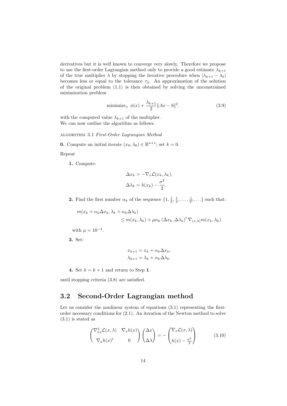derivatives but it is well known to converge very slowly. Therefore we propose to use the first-order Lagrangian method only to provide a good estimate  $\lambda_{k+1}$ of the true multiplier  $\lambda$  by stopping the iterative procedure when  $|\lambda_{k+1} - \lambda_k|$ becomes less or equal to the tolerance  $\tau_3$ . An approximation of the solution of the original problem (1.1) is then obtained by solving the unconstrained minimization problem

$$
\text{minimize}_{x} \ \phi(x) + \frac{\lambda_{k+1}}{2} \|Ax - b\|^2. \tag{3.9}
$$

with the computed value  $\lambda_{k+1}$  of the multiplier. We can now outline the algorithm as follows.

algorithm 3.1 First-Order Lagrangian Method

**0.** Compute an initial iterate  $(x_0, \lambda_0) \in \mathbb{R}^{n+1}$ ; set  $k = 0$ .

Repeat

1. Compute:

$$
\Delta x_k = -\nabla_x \mathcal{L}(x_k, \lambda_k),
$$
  

$$
\Delta \lambda_k = h(x_k) - \frac{\sigma^2}{2}.
$$

**2.** Find the first number  $\alpha_k$  of the sequence  $\{1, \frac{1}{2}, \frac{1}{4}, \dots, \frac{1}{2^i}, \dots\}$  such that:

 $m(x_k + \alpha_k \Delta x_k, \lambda_k + \alpha_k \Delta \lambda_k)$  $\leq m(x_k, \lambda_k) + \mu \alpha_k (\Delta x_k, \Delta \lambda_k)^t \nabla_{(x, \lambda)} m(x_k, \lambda_k)$ 

with  $\mu = 10^{-4}$ .

3. Set:

$$
x_{k+1} = x_k + \alpha_k \Delta x_k,
$$
  

$$
\lambda_{k+1} = \lambda_k + \alpha_k \Delta \lambda_k.
$$

4. Set  $k = k + 1$  and return to Step 1.

until stopping criteria (3.8) are satisfied.

#### 3.2 Second-Order Lagrangian method

Let us consider the nonlinear system of equations  $(3.1)$  representing the firstorder necessary conditions for (2.1). An iteration of the Newton method to solve (3.1) is stated as

$$
\begin{pmatrix} \nabla_{xx}^2 \mathcal{L}(x,\lambda) & \nabla_x h(x) \\ \nabla_x h(x)^t & 0 \end{pmatrix} \begin{pmatrix} \Delta x \\ \Delta \lambda \end{pmatrix} = - \begin{pmatrix} \nabla_x \mathcal{L}(x,\lambda) \\ h(x) - \frac{\sigma^2}{2} \end{pmatrix}
$$
(3.10)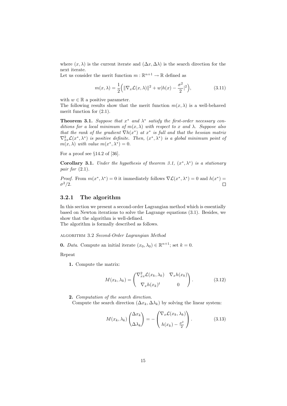where  $(x, \lambda)$  is the current iterate and  $(\Delta x, \Delta \lambda)$  is the search direction for the next iterate.

Let us consider the merit function  $m : \mathbb{R}^{n+1} \to \mathbb{R}$  defined as

$$
m(x,\lambda) = \frac{1}{2} \left( \|\nabla_x \mathcal{L}(x,\lambda)\|^2 + w|h(x) - \frac{\sigma^2}{2}|^2 \right),\tag{3.11}
$$

with  $w \in \mathbb{R}$  a positive parameter.

The following results show that the merit function  $m(x, \lambda)$  is a well-behaved merit function for (2.1).

**Theorem 3.1.** Suppose that  $x^*$  and  $\lambda^*$  satisfy the first-order necessary conditions for a local minimum of  $m(x, \lambda)$  with respect to x and  $\lambda$ . Suppose also that the rank of the gradient  $\nabla h(x^*)$  at  $x^*$  is full and that the hessian matrix  $\nabla_{xx}^2 \mathcal{L}(x^*, \lambda^*)$  is positive definite. Then,  $(x^*, \lambda^*)$  is a global minimum point of  $m(x, \lambda)$  with value  $m(x^*, \lambda^*) = 0$ .

For a proof see  $\S 14.2$  of [36].

**Corollary 3.1.** Under the hypothesis of theorem 3.1,  $(x^*, \lambda^*)$  is a stationary pair for (2.1).

*Proof.* From  $m(x^*, \lambda^*) = 0$  it immediately follows  $\nabla \mathcal{L}(x^*, \lambda^*) = 0$  and  $h(x^*) =$  $\sigma^2/2$ .  $\Box$ 

#### 3.2.1 The algorithm

In this section we present a second-order Lagrangian method which is essentially based on Newton iterations to solve the Lagrange equations (3.1). Besides, we show that the algorithm is well-defined.

The algorithm is formally described as follows.

algorithm 3.2 Second-Order Lagrangian Method

**0.** *Data*. Compute an initial iterate  $(x_0, \lambda_0) \in \mathbb{R}^{n+1}$ ; set  $k = 0$ .

Repeat

1. Compute the matrix:

$$
M(x_k, \lambda_k) = \begin{pmatrix} \nabla_{xx}^2 \mathcal{L}(x_k, \lambda_k) & \nabla_x h(x_k) \\ \nabla_x h(x_k)^t & 0 \end{pmatrix}.
$$
 (3.12)

2. Computation of the search direction.

Compute the search direction  $(\Delta x_k, \Delta \lambda_k)$  by solving the linear system:

$$
M(x_k, \lambda_k) \begin{pmatrix} \Delta x_k \\ \Delta \lambda_k \end{pmatrix} = - \begin{pmatrix} \nabla_x \mathcal{L}(x_k, \lambda_k) \\ h(x_k) - \frac{\sigma^2}{2} \end{pmatrix} . \tag{3.13}
$$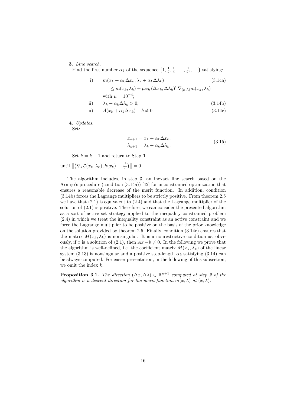#### 3. Line search.

Find the first number  $\alpha_k$  of the sequence  $\{1, \frac{1}{2}, \frac{1}{4}, \dots, \frac{1}{2^i}, \dots\}$  satisfying:

i) 
$$
m(x_k + \alpha_k \Delta x_k, \lambda_k + \alpha_k \Delta \lambda_k)
$$
  
\n
$$
\leq m(x_k, \lambda_k) + \mu \alpha_k (\Delta x_k, \Delta \lambda_k)^t \nabla_{(x, \lambda)} m(x_k, \lambda_k)
$$
  
\nwith  $\mu = 10^{-4}$ ;

$$
ii) \qquad \lambda_k + \alpha_k \Delta \lambda_k > 0; \tag{3.14b}
$$

$$
iii) \tA(x_k + \alpha_k \Delta x_k) - b \neq 0.
$$
\t(3.14c)

4. Updates.

Set:

$$
x_{k+1} = x_k + \alpha_k \Delta x_k,
$$
  
\n
$$
\lambda_{k+1} = \lambda_k + \alpha_k \Delta \lambda_k.
$$
\n(3.15)

Set  $k = k + 1$  and return to Step 1.

until 
$$
\left\| \left( \nabla_x \mathcal{L}(x_k, \lambda_k), h(x_k) - \frac{\sigma^2}{2} \right) \right\| = 0
$$

The algorithm includes, in step 3, an inexact line search based on the Armijo's procedure (condition (3.14a)) [42] for unconstrained optimization that ensures a reasonable decrease of the merit function. In addition, condition (3.14b) forces the Lagrange multipliers to be strictly positive. From theorem 2.5 we have that  $(2.1)$  is equivalent to  $(2.4)$  and that the Lagrange multiplier of the solution of (2.1) is positive. Therefore, we can consider the presented algorithm as a sort of active set strategy applied to the inequality constrained problem (2.4) in which we treat the inequality constraint as an active constraint and we force the Lagrange multiplier to be positive on the basis of the prior knowledge on the solution provided by theorem 2.5. Finally, condition (3.14c) ensures that the matrix  $M(x_k, \lambda_k)$  is nonsingular. It is a nonrestrictive condition as, obviously, if x is a solution of (2.1), then  $Ax - b \neq 0$ . In the following we prove that the algorithm is well-defined, i.e. the coefficient matrix  $M(x_k, \lambda_k)$  of the linear system (3.13) is nonsingular and a positive step-length  $\alpha_k$  satisfying (3.14) can be always computed. For easier presentation, in the following of this subsection, we omit the index  $k$ .

**Proposition 3.1.** The direction  $(\Delta x, \Delta \lambda) \in \mathbb{R}^{n+1}$  computed at step 2 of the algorithm is a descent direction for the merit function  $m(x, \lambda)$  at  $(x, \lambda)$ .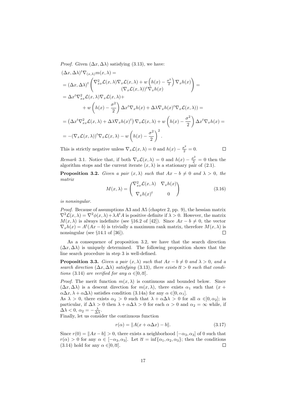*Proof.* Given  $(\Delta x, \Delta \lambda)$  satisfying (3.13), we have:

$$
(\Delta x, \Delta \lambda)^t \nabla_{(x,\lambda)} m(x,\lambda) =
$$
  
\n
$$
= (\Delta x, \Delta \lambda)^t \begin{pmatrix} \nabla_{xx}^2 \mathcal{L}(x,\lambda) \nabla_x \mathcal{L}(x,\lambda) + w \left( h(x) - \frac{\sigma^2}{2} \right) \nabla_x h(x) \\ \nabla_x \mathcal{L}(x,\lambda) \nabla_x h(x) \end{pmatrix} =
$$
  
\n
$$
= \Delta x^t \nabla_{xx}^2 \mathcal{L}(x,\lambda) \nabla_x \mathcal{L}(x,\lambda) +
$$
  
\n
$$
+ w \left( h(x) - \frac{\sigma^2}{2} \right) \Delta x^t \nabla_x h(x) + \Delta \lambda \nabla_x h(x)^t \nabla_x \mathcal{L}(x,\lambda) =
$$
  
\n
$$
= (\Delta x^t \nabla_{xx}^2 \mathcal{L}(x,\lambda) + \Delta \lambda \nabla_x h(x)^t) \nabla_x \mathcal{L}(x,\lambda) + w \left( h(x) - \frac{\sigma^2}{2} \right) \Delta x^t \nabla_x h(x) =
$$
  
\n
$$
= -(\nabla_x \mathcal{L}(x,\lambda))^t \nabla_x \mathcal{L}(x,\lambda) - w \left( h(x) - \frac{\sigma^2}{2} \right)^2.
$$

This is strictly negative unless  $\nabla_x \mathcal{L}(x, \lambda) = 0$  and  $h(x) - \frac{\sigma^2}{2} = 0$ .

$$
\Box
$$

*Remark* 3.1. Notice that, if both  $\nabla_x \mathcal{L}(x, \lambda) = 0$  and  $h(x) - \frac{\sigma^2}{2} = 0$  then the algorithm stops and the current iterate  $(x, \lambda)$  is a stationary pair of (2.1).

**Proposition 3.2.** Given a pair  $(x, \lambda)$  such that  $Ax - b \neq 0$  and  $\lambda > 0$ , the matrix

$$
M(x,\lambda) = \begin{pmatrix} \nabla_{xx}^2 \mathcal{L}(x,\lambda) & \nabla_x h(x) \\ \nabla_x h(x)^t & 0 \end{pmatrix}
$$
 (3.16)

is nonsingular.

*Proof.* Because of assumptions A3 and A5 (chapter 2, pp. 9), the hessian matrix  $\nabla^2 \mathcal{L}(x, \lambda) = \nabla^2 \phi(x, \lambda) + \lambda A^t A$  is positive definite if  $\lambda > 0$ . However, the matrix  $M(x, \lambda)$  is always indefinite (see §16.2 of [42]). Since  $Ax - b \neq 0$ , the vector  $\nabla_x h(x) = A^t(Ax - b)$  is trivially a maximum rank matrix, therefore  $M(x, \lambda)$  is nonsingular (see §14.1 of [36]).

As a consequence of proposition 3.2, we have that the search direction  $(\Delta x, \Delta \lambda)$  is uniquely determined. The following proposition shows that the line search procedure in step 3 is well-defined.

**Proposition 3.3.** Given a pair  $(x, \lambda)$  such that  $Ax - b \neq 0$  and  $\lambda > 0$ , and a search direction  $(\Delta x, \Delta \lambda)$  satisfying (3.13), there exists  $\overline{\alpha} > 0$  such that conditions (3.14) are verified for any  $\alpha \in ]0, \overline{\alpha}].$ 

*Proof.* The merit function  $m(x, \lambda)$  is continuous and bounded below. Since  $(\Delta x, \Delta \lambda)$  is a descent direction for  $m(x, \lambda)$ , there exists  $\alpha_1$  such that  $(x +$  $\alpha\Delta x, \lambda + \alpha\Delta\lambda$  satisfies condition (3.14a) for any  $\alpha \in ]0, \alpha_1]$ .

As  $\lambda > 0$ , there exists  $\alpha_2 > 0$  such that  $\lambda + \alpha \Delta \lambda > 0$  for all  $\alpha \in ]0, \alpha_2]$ ; in particular, if  $\Delta \lambda > 0$  then  $\lambda + \alpha \Delta \lambda > 0$  for each  $\alpha > 0$  and  $\alpha_2 = \infty$  while, if  $\Delta\lambda < 0, \ \alpha_2 = -\frac{\lambda}{\Delta\lambda}.$ 

Finally, let us consider the continuous function

$$
r(\alpha) = ||A(x + \alpha \Delta x) - b||. \tag{3.17}
$$

Since  $r(0) = ||Ax - b|| > 0$ , there exists a neighborhood  $[-\alpha_3, \alpha_3]$  of 0 such that  $r(\alpha) > 0$  for any  $\alpha \in [-\alpha_3, \alpha_3]$ . Let  $\overline{\alpha} = \inf \{\alpha_1, \alpha_2, \alpha_3\}$ ; then the conditions (3.14) hold for any  $\alpha \in ]0, \overline{\alpha}]$ . (3.14) hold for any  $\alpha \in ]0, \overline{\alpha}].$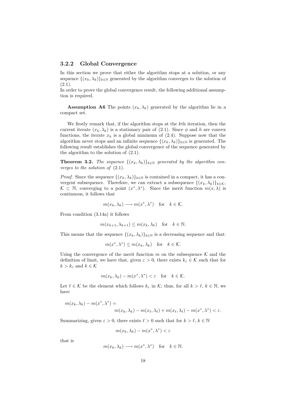#### 3.2.2 Global Convergence

In this section we prove that either the algorithm stops at a solution, or any sequence  $\{(x_k, \lambda_k)\}_{k\in\mathbb{N}}$  generated by the algorithm converges to the solution of  $(2.1).$ 

In order to prove the global convergence result, the following additional assumption is required.

**Assumption A6** The points  $(x_k, \lambda_k)$  generated by the algorithm lie in a compact set.

We firstly remark that, if the algorithm stops at the kth iteration, then the current iterate  $(x_k, \lambda_k)$  is a stationary pair of (2.1). Since  $\phi$  and h are convex functions, the iterate  $x_k$  is a global minimum of (2.4). Suppose now that the algorithm never stops and an infinite sequence  $\{(x_k, \lambda_k)\}_{k\in\mathbb{N}}$  is generated. The following result establishes the global convergence of the sequence generated by the algorithm to the solution of (2.1).

**Theorem 3.2.** The sequence  $\{(x_k, \lambda_k)\}_{k\in\mathbb{N}}$  generated by the algorithm converges to the solution of  $(2.1)$ .

*Proof.* Since the sequence  $\{(x_k, \lambda_k)\}_{k\in\mathbb{N}}$  is contained in a compact, it has a convergent subsequence. Therefore, we can extract a subsequence  $\{(x_k, \lambda_k)\}_{k \in \mathcal{K}}$ , K ⊂ N, converging to a point  $(x^*, \lambda^*)$ . Since the merit function  $m(x, \lambda)$  is continuous, it follows that

$$
m(x_k, \lambda_k) \longrightarrow m(x^*, \lambda^*)
$$
 for  $k \in \mathcal{K}$ .

From condition (3.14a) it follows

$$
m(x_{k+1}, \lambda_{k+1}) \le m(x_k, \lambda_k)
$$
 for  $k \in \mathbb{N}$ .

This means that the sequence  $\{(x_k, \lambda_k)\}_{k\in\mathbb{N}}$  is a decreasing sequence and that:

$$
m(x^*, \lambda^*) \le m(x_k, \lambda_k)
$$
 for  $k \in \mathcal{K}$ .

Using the convergence of the merit function m on the subsequence  $\mathcal K$  and the definition of limit, we have that, given  $\varepsilon > 0$ , there exists  $k_{\varepsilon} \in \mathcal{K}$  such that for  $k > k_{\varepsilon}$  and  $k \in \mathcal{K}$ 

$$
m(x_k, \lambda_k) - m(x^*, \lambda^*) < \varepsilon
$$
 for  $k \in \mathcal{K}$ .

Let  $\ell \in \mathcal{K}$  be the element which follows  $k_{\varepsilon}$  in K; thus, for all  $k > \ell, k \in \mathbb{N}$ , we have

$$
m(x_k, \lambda_k) - m(x^*, \lambda^*) =
$$
  

$$
m(x_k, \lambda_k) - m(x_\ell, \lambda_\ell) + m(x_\ell, \lambda_\ell) - m(x^*, \lambda^*) < \varepsilon.
$$

Summarizing, given  $\varepsilon > 0$ , there exists  $\ell > 0$  such that for  $k > \ell, k \in \mathbb{N}$ 

$$
m(x_k, \lambda_k) - m(x^*, \lambda^*) < \varepsilon
$$

that is

$$
m(x_k, \lambda_k) \longrightarrow m(x^*, \lambda^*)
$$
 for  $k \in \mathbb{N}$ .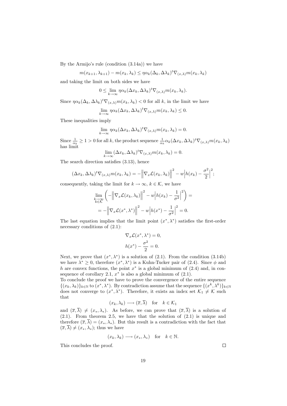By the Armijo's rule (condition (3.14a)) we have

$$
m(x_{k+1}, \lambda_{k+1}) - m(x_k, \lambda_k) \leq \eta \alpha_k (\Delta_k, \Delta \lambda_k)^t \nabla_{(x, \lambda)} m(x_k, \lambda_k)
$$

and taking the limit on both sides we have

$$
0 \leq \lim_{k \to \infty} \eta \alpha_k (\Delta x_k, \Delta \lambda_k)^t \nabla_{(x,\lambda)} m(x_k, \lambda_k).
$$

Since  $\eta \alpha_k(\Delta_k, \Delta \lambda_k)^t \nabla_{(x,\lambda)} m(x_k, \lambda_k) < 0$  for all k, in the limit we have

$$
\lim_{k \to \infty} \eta \alpha_k (\Delta x_k, \Delta \lambda_k)^t \nabla_{(x,\lambda)} m(x_k, \lambda_k) \le 0.
$$

These inequalities imply

$$
\lim_{k \to \infty} \eta \alpha_k (\Delta x_k, \Delta \lambda_k)^t \nabla_{(x,\lambda)} m(x_k, \lambda_k) = 0.
$$

Since  $\frac{1}{\alpha_k} \geq 1 > 0$  for all k, the product sequence  $\frac{1}{\alpha_k} \alpha_k (\Delta x_k, \Delta \lambda_k)^t \nabla_{(x,\lambda)} m(x_k, \lambda_k)$ has limit

$$
\lim_{k \to \infty} (\Delta x_k, \Delta \lambda_k)^t \nabla_{(x,\lambda)} m(x_k, \lambda_k) = 0.
$$

The search direction satisfies (3.13), hence

$$
(\Delta x_k, \Delta \lambda_k)^t \nabla_{(x,\lambda)} m(x_k, \lambda_k) = -\left\| \nabla_x \mathcal{L}(x_k, \lambda_k) \right\|^2 - w \left| h(x_k) - \frac{\sigma^2}{2} \right|^2;
$$

consequently, taking the limit for  $k \to \infty$ ,  $k \in \mathcal{K}$ , we have

$$
\lim_{\substack{k \to \infty \\ k \in \mathcal{K}}} \left( -\left\| \nabla_x \mathcal{L}(x_k, \lambda_k) \right\|^2 - w \left| h(x_k) - \frac{1}{\sigma^2} \right|^2 \right) =
$$
\n
$$
= -\left\| \nabla_x \mathcal{L}(x^*, \lambda^*) \right\|^2 - w \left| h(x^*) - \frac{1}{\sigma^2} \right|^2 = 0.
$$

The last equation implies that the limit point  $(x^*, \lambda^*)$  satisfies the first-order necessary conditions of (2.1):

$$
\nabla_x \mathcal{L}(x^*, \lambda^*) = 0,
$$
  

$$
h(x^*) - \frac{\sigma^2}{2} = 0.
$$

Next, we prove that  $(x^*, \lambda^*)$  is a solution of  $(2.1)$ . From the condition  $(3.14b)$ we have  $\lambda^* \geq 0$ , therefore  $(x^*, \lambda^*)$  is a Kuhn-Tucker pair of (2.4). Since  $\phi$  and h are convex functions, the point  $x^*$  is a global minimum of  $(2.4)$  and, in consequence of corollary 2.1,  $x^*$  is also a global minimum of  $(2.1)$ .

To conclude the proof we have to prove the convergence of the entire sequence  $\{(x_k, \lambda_k)\}_{k \in \mathbb{N}}$  to  $(x^*, \lambda^*)$ . By contradiction assume that the sequence  $\{(x^k, \lambda^k)\}_{k \in \mathbb{N}}$ does not converge to  $(x^*, \lambda^*)$ . Therefore, it exists an index set  $\mathcal{K}_1 \neq \mathcal{K}$  such that

$$
(x_k, \lambda_k) \longrightarrow (\overline{x}, \overline{\lambda})
$$
 for  $k \in \mathcal{K}_1$ 

and  $(\overline{x}, \overline{\lambda}) \neq (x_*, \lambda_*)$ . As before, we can prove that  $(\overline{x}, \overline{\lambda})$  is a solution of (2.1). From theorem 2.5, we have that the solution of (2.1) is unique and therefore  $(\overline{x}, \overline{\lambda}) = (x_*, \lambda_*)$ . But this result is a contradiction with the fact that  $(\overline{x}, \overline{\lambda}) \neq (x_*, \lambda_*);$  thus we have

$$
(x_k, \lambda_k) \longrightarrow (x_*, \lambda_*)
$$
 for  $k \in \mathbb{N}$ .

This concludes the proof.

 $\Box$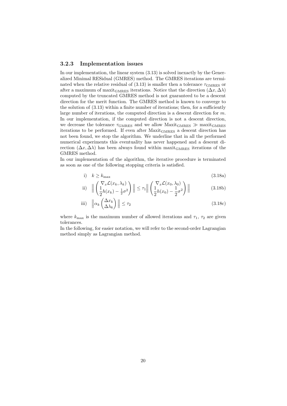#### 3.2.3 Implementation issues

In our implementation, the linear system (3.13) is solved inexactly by the Generalized Minimal RESidual (GMRES) method. The GMRES iterations are terminated when the relative residual of (3.13) is smaller then a tolerance  $\tau_{\text{GMRES}}$  or after a maximum of maxit<sub>GMRES</sub> iterations. Notice that the direction  $(\Delta x, \Delta \lambda)$ computed by the truncated GMRES method is not guaranteed to be a descent direction for the merit function. The GMRES method is known to converge to the solution of (3.13) within a finite number of iterations; then, for a sufficiently large number of iterations, the computed direction is a descent direction for m. In our implementation, if the computed direction is not a descent direction, we decrease the tolerance  $\tau_{\text{GMRES}}$  and we allow Maxit<sub>GMRES</sub>  $\gg$  maxit<sub>GMRES</sub> iterations to be performed. If even after MaxitGMRES a descent direction has not been found, we stop the algorithm. We underline that in all the performed numerical experiments this eventuality has never happened and a descent direction  $(\Delta x, \Delta \lambda)$  has been always found within maxit<sub>GMRES</sub> iterations of the GMRES method.

In our implementation of the algorithm, the iterative procedure is terminated as soon as one of the following stopping criteria is satisfied.

i) 
$$
k \ge k_{\text{max}} \tag{3.18a}
$$

ii) 
$$
\left\| \left( \frac{\nabla_x \mathcal{L}(x_k, \lambda_k)}{2^{h(x_k) - \frac{1}{2}\sigma^2}} \right) \right\| \leq \tau_1 \left\| \left( \frac{\nabla_x \mathcal{L}(x_0, \lambda_0)}{2^{h(x_0) - \frac{1}{2}\sigma^2}} \right) \right\|
$$
(3.18b)

iii) 
$$
\left\| \alpha_k \begin{pmatrix} \Delta x_k \\ \Delta \lambda_k \end{pmatrix} \right\| \le \tau_2
$$
 (3.18c)

where  $k_{\text{max}}$  is the maximum number of allowed iterations and  $\tau_1$ ,  $\tau_2$  are given tolerances.

In the following, for easier notation, we will refer to the second-order Lagrangian method simply as Lagrangian method.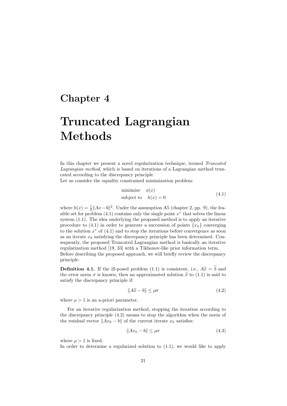### Chapter 4

# Truncated Lagrangian Methods

In this chapter we present a novel regularization technique, termed Truncated Lagrangian method, which is based on iterations of a Lagrangian method truncated according to the discrepancy principle.

Let us consider the equality constrained minimization problem:

minimize 
$$
\phi(x)
$$
  
subject to  $h(x) = 0$  (4.1)

where  $h(x) = \frac{1}{2} ||Ax - b||^2$ . Under the assumption A5 (chapter 2, pp. 9), the feasible set for problem  $(4.1)$  contains only the single point  $x^*$  that solves the linear system (1.1). The idea underlying the proposed method is to apply an iterative procedure to (4.1) in order to generate a succession of points  $\{x_k\}$  converging to the solution  $x^*$  of  $(4.1)$  and to stop the iterations before convergence as soon as an iterate  $x_k$  satisfying the discrepancy principle has been determined. Consequently, the proposed Truncated Lagrangian method is basically an iterative regularization method [19, 33] with a Tikhonov-like prior information term. Before describing the proposed approach, we will briefly review the discrepancy principle.

**Definition 4.1.** If the ill-posed problem (1.1) is consistent, i.e.,  $A\tilde{x} = \tilde{b}$  and the error norm  $\sigma$  is known, then an approximated solution  $\hat{x}$  to (1.1) is said to satisfy the discrepancy principle if:

$$
||A\hat{x} - b|| \le \rho \sigma \tag{4.2}
$$

where  $\rho > 1$  is an a-priori parameter.

For an iterative regularization method, stopping the iteration according to the discrepancy principle (4.2) means to stop the algorithm when the norm of the residual vector  $||Ax_k - b||$  of the current iterate  $x_k$  satisfies:

$$
||Ax_k - b|| \le \rho \sigma \tag{4.3}
$$

where  $\rho > 1$  is fixed.

In order to determine a regularized solution to (1.1), we would like to apply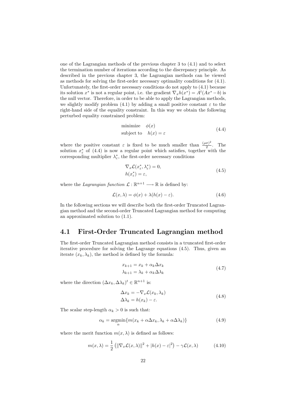one of the Lagrangian methods of the previous chapter 3 to (4.1) and to select the termination number of iterations according to the discrepancy principle. As described in the previous chapter 3, the Lagrangian methods can be viewed as methods for solving the first-order necessary optimality conditions for (4.1). Unfortunately, the first-order necessary conditions do not apply to (4.1) because its solution  $x^*$  is not a regular point, i.e. the gradient  $\nabla_x h(x^*) = A^t(Ax^* - b)$  is the null vector. Therefore, in order to be able to apply the Lagrangian methods, we slightly modify problem (4.1) by adding a small positive constant  $\varepsilon$  to the right-hand side of the equality constraint. In this way we obtain the following perturbed equality constrained problem:

minimize 
$$
\phi(x)
$$
  
subject to  $h(x) = \varepsilon$  (4.4)

where the positive constant  $\varepsilon$  is fixed to be much smaller than  $\frac{(\rho\sigma)^2}{2}$  $\frac{\sigma}{2}$ . The solution  $x^*_{\varepsilon}$  of (4.4) is now a regular point which satisfies, together with the corresponding multiplier  $\lambda_{\varepsilon}^{*},$  the first-order necessary conditions

$$
\nabla_x \mathcal{L}(x_{\varepsilon}^*, \lambda_{\varepsilon}^*) = 0,
$$
  
\n
$$
h(x_{\varepsilon}^*) = \varepsilon,
$$
\n(4.5)

where the *Lagrangian function*  $\mathcal{L} : \mathbb{R}^{n+1} \longrightarrow \mathbb{R}$  is defined by:

$$
\mathcal{L}(x,\lambda) = \phi(x) + \lambda (h(x) - \varepsilon). \tag{4.6}
$$

In the following sections we will describe both the first-order Truncated Lagrangian method and the second-order Truncated Lagrangian method for computing an approximated solution to (1.1).

#### 4.1 First-Order Truncated Lagrangian method

The first-order Truncated Lagrangian method consists in a truncated first-order iterative procedure for solving the Lagrange equations (4.5). Thus, given an iterate  $(x_k, \lambda_k)$ , the method is defined by the formula:

$$
x_{k+1} = x_k + \alpha_k \Delta x_k
$$
  
\n
$$
\lambda_{k+1} = \lambda_k + \alpha_k \Delta \lambda_k
$$
\n(4.7)

where the direction  $(\Delta x_k, \Delta \lambda_k)^t \in \mathbb{R}^{n+1}$  is:

$$
\Delta x_k = -\nabla_x \mathcal{L}(x_k, \lambda_k) \n\Delta \lambda_k = h(x_k) - \varepsilon.
$$
\n(4.8)

The scalar step-length  $\alpha_k > 0$  is such that:

$$
\alpha_k = \underset{\alpha}{\operatorname{argmin}} \{ m(x_k + \alpha \Delta x_k, \lambda_k + \alpha \Delta \lambda_k) \}
$$
(4.9)

where the merit function  $m(x, \lambda)$  is defined as follows:

$$
m(x,\lambda) = \frac{1}{2} \left( \|\nabla_x \mathcal{L}(x,\lambda)\|^2 + |h(x) - \varepsilon|^2 \right) - \gamma \mathcal{L}(x,\lambda) \tag{4.10}
$$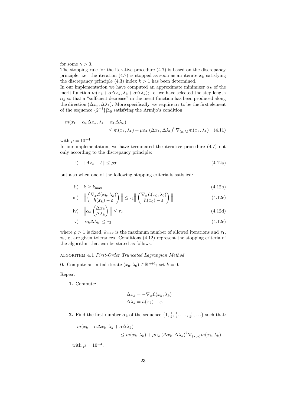for some  $\gamma > 0$ .

The stopping rule for the iterative procedure (4.7) is based on the discrepancy principle, i.e. the iteration (4.7) is stopped as soon as an iterate  $x_k$  satisfying the discrepancy principle  $(4.3)$  index  $k > 1$  has been determined.

In our implementation we have computed an approximate minimizer  $\alpha_k$  of the merit function  $m(x_k + \alpha \Delta x_k, \lambda_k + \alpha \Delta \lambda_k)$ ; i.e. we have selected the step length  $\alpha_k$  so that a "sufficient decrease" in the merit function has been produced along the direction  $(\Delta x_k, \Delta \lambda_k)$ . More specifically, we require  $\alpha_k$  to be the first element of the sequence  $\{2^{-i}\}_{i=0}^{\infty}$  satisfying the Armijo's condition:

$$
m(x_k + \alpha_k \Delta x_k, \lambda_k + \alpha_k \Delta \lambda_k)
$$
  
\n
$$
\leq m(x_k, \lambda_k) + \mu \alpha_k (\Delta x_k, \Delta \lambda_k)^t \nabla_{(x, \lambda)} m(x_k, \lambda_k)
$$
 (4.11)

with  $\mu = 10^{-4}$ .

In our implementation, we have terminated the iterative procedure (4.7) not only according to the discrepancy principle:

i) 
$$
\|Ax_k - b\| \le \rho \sigma \tag{4.12a}
$$

but also when one of the following stopping criteria is satisfied:

ii) 
$$
k \ge k_{\text{max}} \tag{4.12b}
$$

iii) 
$$
\left\| \begin{pmatrix} \nabla_x \mathcal{L}(x_k, \lambda_k) \\ h(x_k) - \varepsilon \end{pmatrix} \right\| \leq \tau_1 \left\| \begin{pmatrix} \nabla_x \mathcal{L}(x_0, \lambda_0) \\ h(x_0) - \varepsilon \end{pmatrix} \right\|
$$
 (4.12c)

iv) 
$$
\left\| \alpha_k \begin{pmatrix} \Delta x_k \\ \Delta \lambda_k \end{pmatrix} \right\| \leq \tau_2
$$
 (4.12d)

$$
v) \quad |\alpha_k \Delta \lambda_k| \le \tau_3 \tag{4.12e}
$$

where  $\rho > 1$  is fixed,  $k_{\text{max}}$  is the maximum number of allowed iterations and  $\tau_1$ ,  $\tau_2$ ,  $\tau_3$  are given tolerances. Conditions (4.12) represent the stopping criteria of the algorithm that can be stated as follows.

#### algorithm 4.1 First-Order Truncated Lagrangian Method

**0.** Compute an initial iterate  $(x_0, \lambda_0) \in \mathbb{R}^{n+1}$ ; set  $k = 0$ .

Repeat

1. Compute:

$$
\Delta x_k = -\nabla_x \mathcal{L}(x_k, \lambda_k)
$$
  

$$
\Delta \lambda_k = h(x_k) - \varepsilon.
$$

**2.** Find the first number  $\alpha_k$  of the sequence  $\{1, \frac{1}{2}, \frac{1}{4}, \dots, \frac{1}{2^i}, \dots\}$  such that:

$$
m(x_k + \alpha \Delta x_k, \lambda_k + \alpha \Delta \lambda_k)
$$
  
\n
$$
\leq m(x_k, \lambda_k) + \mu \alpha_k (\Delta x_k, \Delta \lambda_k)^t \nabla_{(x, \lambda)} m(x_k, \lambda_k)
$$

with  $\mu = 10^{-4}$ .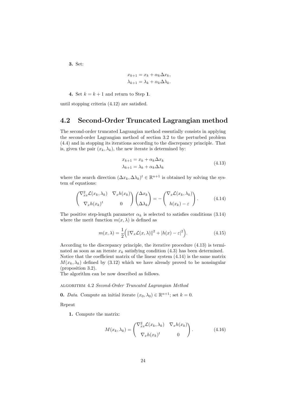3. Set:

$$
x_{k+1} = x_k + \alpha_k \Delta x_k,
$$
  

$$
\lambda_{k+1} = \lambda_k + \alpha_k \Delta \lambda_k.
$$

4. Set  $k = k + 1$  and return to Step 1.

until stopping criteria (4.12) are satisfied.

#### 4.2 Second-Order Truncated Lagrangian method

The second-order truncated Lagrangian method essentially consists in applying the second-order Lagrangian method of section 3.2 to the perturbed problem (4.4) and in stopping its iterations according to the discrepancy principle. That is, given the pair  $(x_k, \lambda_k)$ , the new iterate is determined by:

$$
x_{k+1} = x_k + \alpha_k \Delta x_k
$$
  
\n
$$
\lambda_{k+1} = \lambda_k + \alpha_k \Delta \lambda_k
$$
\n(4.13)

where the search direction  $(\Delta x_k, \Delta \lambda_k)^t \in \mathbb{R}^{n+1}$  is obtained by solving the system of equations:

$$
\begin{pmatrix} \nabla_{xx}^2 \mathcal{L}(x_k, \lambda_k) & \nabla_x h(x_k) \\ \nabla_x h(x_k)^t & 0 \end{pmatrix} \begin{pmatrix} \Delta x_k \\ \Delta \lambda_k \end{pmatrix} = - \begin{pmatrix} \nabla_x \mathcal{L}(x_k, \lambda_k) \\ h(x_k) - \varepsilon \end{pmatrix} . \tag{4.14}
$$

The positive step-length parameter  $\alpha_k$  is selected to satisfies conditions (3.14) where the merit function  $m(x, \lambda)$  is defined as

$$
m(x,\lambda) = \frac{1}{2} \Big( \|\nabla_x \mathcal{L}(x,\lambda)\|^2 + |h(x) - \varepsilon|^2 \Big). \tag{4.15}
$$

According to the discrepancy principle, the iterative procedure (4.13) is terminated as soon as an iterate  $x_k$  satisfying condition (4.3) has been determined. Notice that the coefficient matrix of the linear system (4.14) is the same matrix  $M(x_k, \lambda_k)$  defined by (3.12) which we have already proved to be nonsingular (proposition 3.2).

The algorithm can be now described as follows.

#### algorithm 4.2 Second-Order Truncated Lagrangian Method

**0.** *Data*. Compute an initial iterate  $(x_0, \lambda_0) \in \mathbb{R}^{n+1}$ ; set  $k = 0$ .

Repeat

1. Compute the matrix:

$$
M(x_k, \lambda_k) = \begin{pmatrix} \nabla_{xx}^2 \mathcal{L}(x_k, \lambda_k) & \nabla_x h(x_k) \\ \nabla_x h(x_k)^t & 0 \end{pmatrix} . \tag{4.16}
$$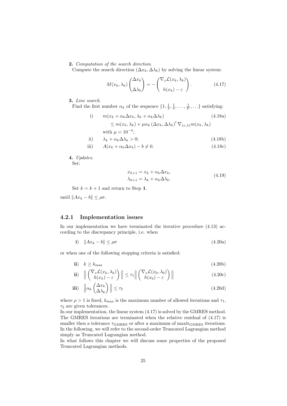#### 2. Computation of the search direction.

Compute the search direction  $(\Delta x_k, \Delta \lambda_k)$  by solving the linear system:

$$
M(x_k, \lambda_k) \begin{pmatrix} \Delta x_k \\ \Delta \lambda_k \end{pmatrix} = - \begin{pmatrix} \nabla_x \mathcal{L}(x_k, \lambda_k) \\ h(x_k) - \varepsilon \end{pmatrix} . \tag{4.17}
$$

3. Line search.

Find the first number  $\alpha_k$  of the sequence  $\{1, \frac{1}{2}, \frac{1}{4}, \dots, \frac{1}{2^i}, \dots\}$  satisfying:

i) 
$$
m(x_k + \alpha_k \Delta x_k, \lambda_k + \alpha_k \Delta \lambda_k)
$$
 (4.18a)  
\n
$$
\leq m(x_k, \lambda_k) + \mu \alpha_k (\Delta x_k, \Delta \lambda_k)^t \nabla_{(x, \lambda)} m(x_k, \lambda_k)
$$
  
\nwith  $\mu = 10^{-4}$ ;  
\nii) 
$$
\lambda_k + \alpha_k \Delta \lambda_k > 0;
$$
 (4.18b)

iii) 
$$
A(x_k + \alpha_k \Delta x_k) - b \neq 0.
$$
 (4.18c)

4. Updates.

Set:

$$
x_{k+1} = x_k + \alpha_k \Delta x_k,
$$
  
\n
$$
\lambda_{k+1} = \lambda_k + \alpha_k \Delta \lambda_k.
$$
\n(4.19)

Set  $k = k + 1$  and return to Step 1.

until  $||Ax_k - b|| \leq \rho \sigma$ .

#### 4.2.1 Implementation issues

In our implementation we have terminated the iterative procedure (4.13) according to the discrepancy principle, i.e. when

$$
i) \quad \|Ax_k - b\| \le \rho \sigma \tag{4.20a}
$$

or when one of the following stopping criteria is satisfied:

$$
i \mathbf{i}) \quad k \ge k_{\text{max}} \tag{4.20b}
$$

$$
\mathbf{ii}) \quad \left\| \begin{pmatrix} \nabla_x \mathcal{L}(x_k, \lambda_k) \\ h(x_k) - \varepsilon \end{pmatrix} \right\| \le \tau_1 \left\| \begin{pmatrix} \nabla_x \mathcal{L}(x_0, \lambda_0) \\ h(x_0) - \varepsilon \end{pmatrix} \right\| \tag{4.20c}
$$

$$
\textbf{iii)} \quad \left\| \alpha_k \begin{pmatrix} \Delta x_k \\ \Delta \lambda_k \end{pmatrix} \right\| \le \tau_2 \tag{4.20d}
$$

where  $\rho > 1$  is fixed,  $k_{\text{max}}$  is the maximum number of allowed iterations and  $\tau_1$ ,  $\tau_2$  are given tolerances.

In our implementation, the linear system (4.17) is solved by the GMRES method. The GMRES iterations are terminated when the relative residual of (4.17) is smaller then a tolerance  $\tau_{\rm GMRES}$  or after a maximum of maxit $_{\rm GMRES}$  iterations. In the following, we will refer to the second-order Truncated Lagrangian method simply as Truncated Lagrangian method.

In what follows this chapter we will discuss some properties of the proposed Truncated Lagrangian methods.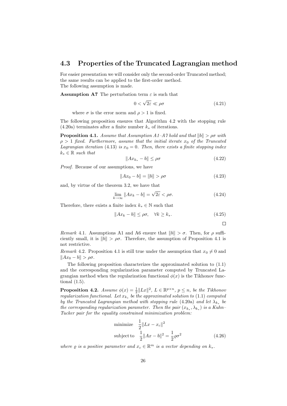#### 4.3 Properties of the Truncated Lagrangian method

For easier presentation we will consider only the second-order Truncated method; the same results can be applied to the first-order method. The following assumption is made.

**Assumption A7** The perturbation term  $\varepsilon$  is such that

$$
0 < \sqrt{2\varepsilon} \ll \rho \sigma \tag{4.21}
$$

where  $\sigma$  is the error norm and  $\rho > 1$  is fixed.

The following proposition ensures that Algorithm 4.2 with the stopping rule  $(4.20a)$  terminates after a finite number  $k_*$  of iterations.

**Proposition 4.1.** Assume that Assumption A1–A7 hold and that  $||b|| > \rho \sigma$  with  $\rho > 1$  fixed. Furthermore, assume that the initial iterate  $x_0$  of the Truncated Lagrangian iteration (4.13) is  $x_0 = 0$ . Then, there exists a finite stopping index  $k_* \in \mathbb{R}$  such that

$$
||Ax_{k_*} - b|| \le \rho \sigma \tag{4.22}
$$

Proof. Because of our assumptions, we have

$$
||Ax_0 - b|| = ||b|| > \rho \sigma \tag{4.23}
$$

and, by virtue of the theorem 3.2, we have that

$$
\lim_{k \to \infty} \|Ax_k - b\| = \sqrt{2\varepsilon} < \rho \sigma. \tag{4.24}
$$

Therefore, there exists a finite index  $k_* \in \mathbb{N}$  such that

$$
||Ax_k - b|| \le \rho \sigma, \quad \forall k \ge k_*. \tag{4.25}
$$

 $\Box$ 

Remark 4.1. Assumptions A1 and A6 ensure that  $||b|| > \sigma$ . Then, for  $\rho$  sufficiently small, it is  $||b|| > \rho\sigma$ . Therefore, the assumption of Proposition 4.1 is not restrictive.

Remark 4.2. Proposition 4.1 is still true under the assumption that  $x_0 \neq 0$  and  $||Ax_0 - b|| > \rho\sigma.$ 

The following proposition characterizes the approximated solution to (1.1) and the corresponding regularization parameter computed by Truncated Lagrangian method when the regularization functional  $\phi(x)$  is the Tikhonov functional (1.5).

**Proposition 4.2.** Assume  $\phi(x) = \frac{1}{2} ||Lx||^2$ ,  $L \in \mathbb{R}^{p \times n}$ ,  $p \leq n$ , be the Tikhonov regularization functional. Let  $x_{k_*}$  be the approximated solution to (1.1) computed by the Truncated Lagrangian method with stopping rule (4.20a) and let  $\lambda_{k_*}$  be the corresponding regularization parameter. Then the pair  $(x_{k_*}, \lambda_{k_*})$  is a Kuhn– Tucker pair for the equality constrained minimization problem:

minimize 
$$
\frac{1}{2} ||Lx - x_c||^2
$$
  
subject to  $\frac{1}{2} ||Ax - b||^2 = \frac{1}{2} \varrho \sigma^2$  (4.26)

where  $\varrho$  is a positive parameter and  $x_c \in \mathbb{R}^m$  is a vector depending on  $k_*$ .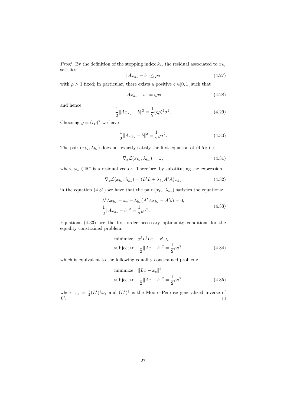*Proof.* By the definition of the stopping index  $k_*,$  the residual associated to  $x_{k_*}$ satisfies:

$$
||Ax_{k_*} - b|| \le \rho \sigma \tag{4.27}
$$

with  $\rho > 1$  fixed; in particular, there exists a positive  $\zeta \in ]0,1[$  such that

$$
||Ax_{k_*} - b|| = \varsigma \rho \sigma \tag{4.28}
$$

and hence

$$
\frac{1}{2}||Ax_{k_*} - b||^2 = \frac{1}{2}(\varsigma \rho)^2 \sigma^2.
$$
\n(4.29)

Choosing  $\rho = (\varsigma \rho)^2$  we have

$$
\frac{1}{2}||Ax_{k_{*}} - b||^{2} = \frac{1}{2}\varrho\sigma^{2}.
$$
\n(4.30)

The pair  $(x_{k_*}, \lambda_{k_*})$  does not exactly satisfy the first equation of (4.5); i.e.

$$
\nabla_x \mathcal{L}(x_{k_*}, \lambda_{k_*}) = \omega_* \tag{4.31}
$$

where  $\omega_*\in\mathbb{R}^n$  is a residual vector. Therefore, by substituting the expression

$$
\nabla_x \mathcal{L}(x_{k_*}, \lambda_{k_*}) = (L^t L + \lambda_{k_*} A^t A) x_{k_*}
$$
\n(4.32)

in the equation (4.31) we have that the pair  $(x_{k_*}, \lambda_{k_*})$  satisfies the equations:

$$
L^t L x_{k_*} - \omega_* + \lambda_{k_*} (A^t A x_{k_*} - A^t b) = 0,
$$
  
\n
$$
\frac{1}{2} \|A x_{k_*} - b\|^2 = \frac{1}{2} \varrho \sigma^2.
$$
\n(4.33)

Equations (4.33) are the first-order necessary optimality conditions for the equality constrained problem:

minimize 
$$
x^t L^t L x - x^t \omega_*
$$
  
subject to 
$$
\frac{1}{2} ||Ax - b||^2 = \frac{1}{2} \varrho \sigma^2
$$
(4.34)

which is equivalent to the following equality constrained problem:

minimize 
$$
||Lx - x_c||^2
$$
  
subject to  $\frac{1}{2}||Ax - b||^2 = \frac{1}{2}\rho\sigma^2$  (4.35)

where  $x_c = \frac{1}{2}(L^t)^{\dagger}\omega_*$  and  $(L^t)^{\dagger}$  is the Moore–Penrose generalized inverse of  $L^t$ .  $\Box$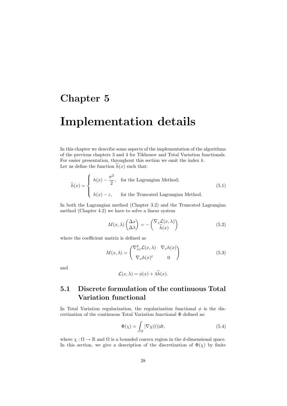### Chapter 5

## Implementation details

In this chapter we describe some aspects of the implementation of the algorithms of the previous chapters 3 and 4 for Tikhonov and Total Variation functionals. For easier presentation, throughout this section we omit the index  $k$ . Let us define the function  $h(x)$  such that:

$$
\widetilde{h}(x) = \begin{cases}\nh(x) - \frac{\sigma^2}{2}, & \text{for the Lagrangian Method;} \\
h(x) - \varepsilon, & \text{for the Truncated Lagrangian Method.} \n\end{cases}
$$
\n(5.1)

In both the Lagrangian method (Chapter 3.2) and the Truncated Lagrangian method (Chapter 4.2) we have to solve a linear system

$$
M(x,\lambda)\begin{pmatrix} \Delta x \\ \Delta \lambda \end{pmatrix} = -\begin{pmatrix} \nabla_x \mathcal{L}(x,\lambda) \\ \tilde{h}(x) \end{pmatrix}
$$
(5.2)

where the coefficient matrix is defined as

$$
M(x,\lambda) = \begin{pmatrix} \nabla_{xx}^2 \mathcal{L}(x,\lambda) & \nabla_x h(x) \\ \nabla_x h(x)^t & 0 \end{pmatrix}
$$
 (5.3)

and

$$
\mathcal{L}(x,\lambda) = \phi(x) + \lambda h(x).
$$

#### 5.1 Discrete formulation of the continuous Total Variation functional

In Total Variation regularization, the regularization functional  $\phi$  is the discretization of the continuous Total Variation functional Φ defined as:

$$
\Phi(\chi) = \int_{\Omega} |\nabla \chi(t)| dt, \tag{5.4}
$$

where  $\chi : \Omega \to \mathbb{R}$  and  $\Omega$  is a bounded convex region in the *d*-dimensional space. In this section, we give a description of the discretization of  $\Phi(\chi)$  by finite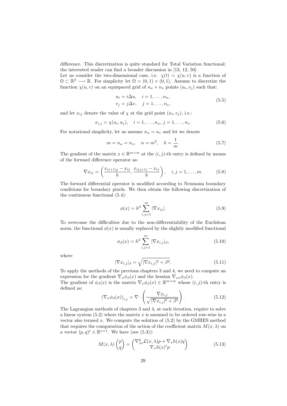difference. This discretization is quite standard for Total Variation functional; the interested reader can find a broader discussion in [13, 12, 50].

Let us consider the two-dimensional case, i.e.  $\chi(t) = \chi(u, v)$  is a function of  $\Omega \subset \mathbb{R}^2 \longrightarrow \mathbb{R}$ . For simplicity let  $\Omega = (0,1) \times (0,1)$ . Assume to discretize the function  $\chi(u, v)$  on an equispaced grid of  $n_u \times n_v$  points  $(u_i, v_j)$  such that:

$$
u_i = i\Delta u, \quad i = 1, \dots, n_u,
$$
  

$$
v_j = j\Delta v, \quad j = 1, \dots, n_v,
$$
 (5.5)

and let  $x_{ij}$  denote the value of  $\chi$  at the grid point  $(u_i, v_j)$ , i.e.:

$$
x_{i,j} = \chi(u_i, u_j), \quad i = 1, \dots, n_u, \ j = 1, \dots, n_v.
$$
 (5.6)

For notational simplicity, let us assume  $n_u = n_v$  and let we denote

$$
m = n_u = n_v
$$
,  $n = m^2$ ,  $h = \frac{1}{m}$ . (5.7)

The gradient of the matrix  $x \in \mathbb{R}^{m \times m}$  at the  $(i, j)$ -th entry is defined by means of the forward difference operator as:

$$
\nabla x_{ij} = \left(\frac{x_{(i+1)j} - x_{ij}}{h}, \frac{x_{i(j+1)} - x_{ij}}{h}\right), \quad i, j = 1, ..., m.
$$
 (5.8)

The forward differential operator is modified according to Neumann boundary conditions for boundary pixels. We then obtain the following discretization of the continuous functional (5.4):

$$
\phi(x) = h^2 \sum_{i,j=1}^{m} |\nabla x_{ij}|.
$$
\n(5.9)

To overcome the difficulties due to the non-differentiability of the Euclidean norm, the functional  $\phi(x)$  is usually replaced by the slightly modified functional

$$
\phi_{\beta}(x) = h^2 \sum_{i,j=1}^{m} |\nabla x_{i,j}|_{\beta},
$$
\n(5.10)

where

$$
|\nabla x_{i,j}|_{\beta} = \sqrt{|\nabla x_{i,j}|^2 + \beta^2}.
$$
\n(5.11)

To apply the methods of the previous chapters 3 and 4, we need to compute an expression for the gradient  $\nabla_x \phi_\beta(x)$  and the hessian  $\nabla_{xx} \phi_\beta(x)$ .

The gradient of  $\phi_{\beta}(x)$  is the matrix  $\nabla_x \phi_{\beta}(x) \in \mathbb{R}^{m \times m}$  whose  $(i, j)$ -th entry is defined as:

$$
\left(\nabla_x \phi_{\beta}(x)\right)_{i,j} = \nabla \cdot \left(\frac{\nabla x_{i,j}}{\sqrt{|\nabla x_{i,j}|^2 + \beta^2}}\right). \tag{5.12}
$$

The Lagrangian methods of chapters 3 and 4, at each iteration, require to solve a linear system  $(5.2)$  where the matrix x is assumed to be ordered row-wise in a vector also termed x. We compute the solution of  $(5.2)$  by the GMRES method that requires the computation of the action of the coefficient matrix  $M(x, \lambda)$  on a vector  $(p,q)^t \in \mathbb{R}^{n+1}$ . We have (see (5.3)):

$$
M(x,\lambda)\begin{pmatrix}p\\q\end{pmatrix} = \begin{pmatrix} \nabla_{xx}^2 \mathcal{L}(x,\lambda)p + \nabla_x h(x)q\\ \nabla_x h(x)^t p \end{pmatrix}
$$
(5.13)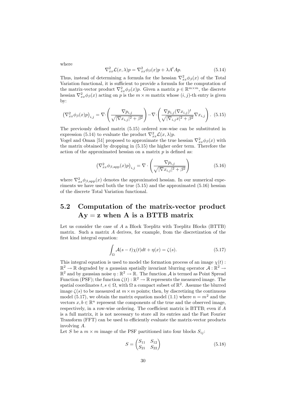where

$$
\nabla_{xx}^2 \mathcal{L}(x,\lambda)p = \nabla_{xx}^2 \phi_\beta(x)p + \lambda A^t A p. \tag{5.14}
$$

Thus, instead of determining a formula for the hessian  $\nabla^2_{xx}\phi_\beta(x)$  of the Total Variation functional, it is sufficient to provide a formula for the computation of the matrix-vector product  $\nabla_{xx}^2 \phi_{\beta}(x) p$ . Given a matrix  $p \in \mathbb{R}^{m \times m}$ , the discrete hessian  $\nabla_{xx}^2 \phi_{\beta}(x)$  acting on p is the  $m \times m$  matrix whose  $(i, j)$ -th entry is given by:

$$
\left(\nabla_{xx}^2 \phi_{\beta}(x)p\right)_{i,j} = \nabla \cdot \left(\frac{\nabla p_{i,j}}{\sqrt{|\nabla x_{i,j}|^2 + \beta^2}}\right) - \nabla \cdot \left(\frac{\nabla p_{i,j}(\nabla x_{i,j})^t}{\sqrt{|\nabla_{i,j}x|^2 + \beta^2}} \nabla x_{i,j}\right). \tag{5.15}
$$

The previously defined matrix (5.15) ordered row-wise can be substituted in expression (5.14) to evaluate the product  $\nabla_{xx}^2 \mathcal{L}(x,\lambda)p$ .

Vogel and Oman [51] proposed to approximate the true hessian  $\nabla_{xx}^2 \phi_{\beta}(x)$  with the matrix obtained by dropping in (5.15) the higher order term. Therefore the action of the approximated hessian on a matrix  $p$  is defined as:

$$
\left(\nabla_{xx}^2 \phi_{\beta, \text{app}}(x)p\right)_{i,j} = \nabla \cdot \left(\frac{\nabla p_{i,j}}{\sqrt{|\nabla x_{i,j}|^2 + \beta^2}}\right) \tag{5.16}
$$

where  $\nabla_{xx}^2 \phi_{\beta, \text{app}}(x)$  denotes the approximated hessian. In our numerical experiments we have used both the true (5.15) and the approximated (5.16) hessian of the discrete Total Variation functional.

#### 5.2 Computation of the matrix-vector product  $Ay = z$  when A is a BTTB matrix

Let us consider the case of A a Block Toeplitz with Toeplitz Blocks (BTTB) matrix. Such a matrix A derives, for example, from the discretization of the first kind integral equation:

$$
\int_{\Omega} \mathcal{A}(s-t)\chi(t)dt + \eta(x) = \zeta(s). \tag{5.17}
$$

This integral equation is used to model the formation process of an image  $\chi(t)$ :  $\mathbb{R}^2 \to \mathbb{R}$  degraded by a gaussian spatially invariant blurring operator  $\mathcal{A}: \mathbb{R}^2 \to \mathbb{R}^2$  and by gaussian noise  $\eta: \mathbb{R}^2 \to \mathbb{R}$ . The function  $\mathcal{A}$  is termed as Point Spread Function (PSF); the function  $\zeta(t): \mathbb{R}^2 \to \mathbb{R}$  represents the measured image. The spatial coordinates  $t, s \in \Omega$ , with  $\Omega$  a compact subset of  $\mathbb{R}^2$ . Assume the blurred image  $\zeta(s)$  to be measured at  $m \times m$  points; then, by discretizing the continuous model (5.17), we obtain the matrix equation model (1.1) where  $n = m^2$  and the vectors  $x, b \in \mathbb{R}^n$  represent the components of the true and the observed image, respectively, in a row-wise ordering. The coefficient matrix is BTTB; even if A is a full matrix, it is not necessary to store all its entries and the Fast Fourier Transform (FFT) can be used to efficiently evaluate the matrix-vector products involving A.

Let S be a  $m \times m$  image of the PSF partitioned into four blocks  $S_{ij}$ :

$$
S = \begin{pmatrix} S_{11} & S_{12} \\ S_{21} & S_{22} \end{pmatrix} \tag{5.18}
$$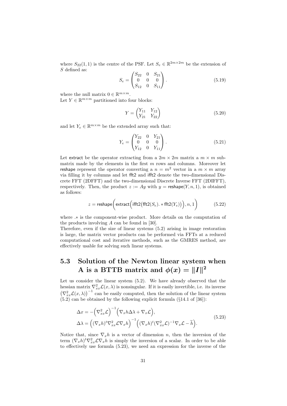where  $S_{22}(1,1)$  is the centre of the PSF. Let  $S_e \in \mathbb{R}^{2m \times 2m}$  be the extension of S defined as:

$$
S_e = \begin{pmatrix} S_{22} & 0 & S_{21} \\ 0 & 0 & 0 \\ S_{12} & 0 & S_{11} \end{pmatrix} .
$$
 (5.19)

where the null matrix  $0 \in \mathbb{R}^{m \times m}$ .

Let  $Y \in \mathbb{R}^{m \times m}$  partitioned into four blocks:

$$
Y = \begin{pmatrix} Y_{11} & Y_{12} \\ Y_{21} & Y_{22} \end{pmatrix}
$$
 (5.20)

and let  $Y_e \in \mathbb{R}^{m \times m}$  be the extended array such that:

$$
Y_e = \begin{pmatrix} Y_{22} & 0 & Y_{21} \\ 0 & 0 & 0 \\ Y_{12} & 0 & Y_{11} \end{pmatrix} .
$$
 (5.21)

Let extract be the operator extracting from a  $2m \times 2m$  matrix a  $m \times m$  submatrix made by the elements in the first  $m$  rows and columns. Moreover let reshape represent the operator converting a  $n = m^2$  vector in a  $m \times m$  array via filling it by columns and let fft2 and ifft2 denote the two-dimensional Discrete FFT (2DFFT) and the two-dimensional Discrete Inverse FFT (2DIFFT), respectively. Then, the product  $z := Ay$  with  $y = \text{reshape}(Y, n, 1)$ , is obtained as follows:

$$
z = \text{reshape}\bigg(\text{extract}\Big(\text{ifft2}\big(\text{fft2}(S_e), *\text{fft2}(Y_e)\big)\Big), n, 1\bigg) \qquad \qquad (5.22)
$$

where .∗ is the component-wise product. More details on the computation of the products involving  $A$  can be found in [30].

Therefore, even if the size of linear systems (5.2) arising in image restoration is large, the matrix vector products can be performed via FFTs at a reduced computational cost and iterative methods, such as the GMRES method, are effectively usable for solving such linear systems.

#### 5.3 Solution of the Newton linear system when A is a BTTB matrix and  $\phi(x) = ||I||^2$

Let us consider the linear system (5.2). We have already observed that the hessian matrix  $\nabla_{xx}^2 \mathcal{L}(x,\lambda)$  is nonsingular. If it is easily invertible, i.e. its inverse  $(\nabla_{xx}^2 \mathcal{L}(x, \lambda))^{-1}$  can be easily computed, then the solution of the linear system  $(5.2)$  can be obtained by the following explicit formula  $(814.1 \text{ of } 36)$ :

$$
\Delta x = -(\nabla_{xx}^2 \mathcal{L})^{-1} (\nabla_x h \Delta \lambda + \nabla_x \mathcal{L}),
$$
  
\n
$$
\Delta \lambda = ((\nabla_x h)^t \nabla_{xx}^2 \mathcal{L} \nabla_x h)^{-1} ((\nabla_x h)^t (\nabla_{xx}^2 \mathcal{L})^{-1} \nabla_x \mathcal{L} - \tilde{h}).
$$
\n(5.23)

Notice that, since  $\nabla_x h$  is a vector of dimension n, then the inversion of the term  $(\nabla_x h)^t \nabla_{xx}^2 \mathcal{L} \nabla_x h$  is simply the inversion of a scalar. In order to be able to effectively use formula (5.23), we need an expression for the inverse of the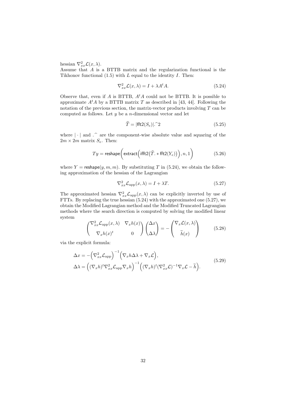hessian  $\nabla_{xx}^2 \mathcal{L}(x,\lambda)$ .

Assume that A is a BTTB matrix and the regularization functional is the Tikhonov functional  $(1.5)$  with L equal to the identity I. Then:

$$
\nabla_{xx}^2 \mathcal{L}(x,\lambda) = I + \lambda A^t A. \tag{5.24}
$$

Observe that, even if A is BTTB,  $A<sup>t</sup>A$  could not be BTTB. It is possible to approximate  $A<sup>t</sup>A$  by a BTTB matrix T as described in [43, 44]. Following the notation of the previous section, the matrix-vector products involving  $T$  can be computed as follows. Let  $y$  be a *n*-dimensional vector and let

$$
\widehat{T} = |\text{fft2}(S_e)|.^{\hat{ }}2 \tag{5.25}
$$

where  $|\cdot|$  and  $\hat{\ }$  are the component-wise absolute value and squaring of the  $2m \times 2m$  matrix  $S_e$ . Then:

$$
Ty = \text{reshape}\left(\text{extract}\left(\text{ifft2}(\hat{T}_{\cdot} * \text{fft2}(Y_e))\right), n, 1\right) \tag{5.26}
$$

where  $Y = \text{reshape}(y, m, m)$ . By substituting T in (5.24), we obtain the following approximation of the hessian of the Lagrangian

$$
\nabla_{xx}^2 \mathcal{L}_{\text{app}}(x,\lambda) = I + \lambda T. \tag{5.27}
$$

The approximated hessian  $\nabla_{xx}^2 \mathcal{L}_{\text{app}}(x, \lambda)$  can be explicitly inverted by use of FTTs. By replacing the true hessian (5.24) with the approximated one (5.27), we obtain the Modified Lagrangian method and the Modified Truncated Lagrangian methods where the search direction is computed by solving the modified linear system

$$
\begin{pmatrix} \nabla_{xx}^2 \mathcal{L}_{\text{app}}(x,\lambda) & \nabla_x h(x) \\ \nabla_x h(x)^t & 0 \end{pmatrix} \begin{pmatrix} \Delta x \\ \Delta \lambda \end{pmatrix} = - \begin{pmatrix} \nabla_x \mathcal{L}(x,\lambda) \\ \tilde{h}(x) \end{pmatrix}
$$
(5.28)

via the explicit formula:

$$
\Delta x = -(\nabla_{xx}^2 \mathcal{L}_{app})^{-1} (\nabla_x h \Delta \lambda + \nabla_x \mathcal{L}),
$$
  
\n
$$
\Delta \lambda = ((\nabla_x h)^t \nabla_{xx}^2 \mathcal{L}_{app} \nabla_x h)^{-1} ((\nabla_x h)^t (\nabla_{xx}^2 \mathcal{L})^{-1} \nabla_x \mathcal{L} - \tilde{h}).
$$
\n(5.29)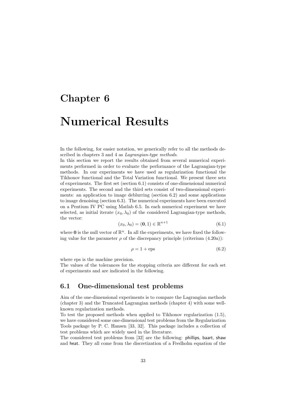# Chapter 6 Numerical Results

In the following, for easier notation, we generically refer to all the methods described in chapters 3 and 4 as *Lagrangian-type methods*.

In this section we report the results obtained from several numerical experiments performed in order to evaluate the performance of the Lagrangian-type methods. In our experiments we have used as regularization functional the Tikhonov functional and the Total Variation functional. We present three sets of experiments. The first set (section 6.1) consists of one-dimensional numerical experiments. The second and the third sets consist of two-dimensional experiments: an application to image deblurring (section 6.2) and some applications to image denoising (section 6.3). The numerical experiments have been executed on a Pentium IV PC using Matlab 6.5. In each numerical experiment we have selected, as initial iterate  $(x_0, \lambda_0)$  of the considered Lagrangian-type methods, the vector:

$$
(x_0, \lambda_0) = (\mathbf{0}, 1) \in \mathbb{R}^{n+1}
$$
 (6.1)

where  $\mathbf 0$  is the null vector of  $\mathbb R^n$ . In all the experiments, we have fixed the following value for the parameter  $\rho$  of the discrepancy principle (criterium (4.20a)):

$$
\rho = 1 + \text{eps} \tag{6.2}
$$

where eps is the machine precision.

The values of the tolerances for the stopping criteria are different for each set of experiments and are indicated in the following.

#### 6.1 One-dimensional test problems

Aim of the one-dimensional experiments is to compare the Lagrangian methods (chapter 3) and the Truncated Lagrangian methods (chapter 4) with some wellknown regularization methods.

To test the proposed methods when applied to Tikhonov regularization (1.5), we have considered some one-dimensional test problems from the Regularization Tools package by P. C. Hansen [33, 32]. This package includes a collection of test problems which are widely used in the literature.

The considered test problems from [32] are the following: phillips, baart, shaw and heat. They all come from the discretization of a Fredholm equation of the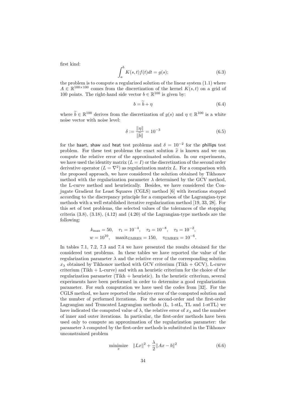first kind:

$$
\int_{a}^{b} K(s,t)f(t)dt = g(s); \tag{6.3}
$$

the problem is to compute a regularized solution of the linear system (1.1) where  $A \in \mathbb{R}^{100 \times 100}$  comes from the discretization of the kernel  $K(s,t)$  on a grid of 100 points. The right-hand side vector  $b \in \mathbb{R}^{100}$  is given by:

$$
b = b + \eta \tag{6.4}
$$

where  $\tilde{b} \in \mathbb{R}^{100}$  derives from the discretization of  $g(s)$  and  $\eta \in \mathbb{R}^{100}$  is a white noise vector with noise level:

$$
\delta := \frac{\|\eta\|}{\|\tilde{b}\|} = 10^{-3} \tag{6.5}
$$

for the baart, shaw and heat test problems and  $\delta = 10^{-2}$  for the phillips test problem. For these test problems the exact solution  $\tilde{x}$  is known and we can compute the relative error of the approximated solution. In our experiments, we have used the identity matrix  $(L = I)$  or the discretization of the second order derivative operator  $(L = \nabla^2)$  as regularization matrix L. For a comparison with the proposed approach, we have considered the solution obtained by Tikhonov method with the regularization parameter  $\lambda$  determined by the GCV method, the L-curve method and heuristically. Besides, we have considered the Conjugate Gradient for Least Squares (CGLS) method [6] with iterations stopped according to the discrepancy principle for a comparison of the Lagrangian-type methods with a well established iterative regularization method [19, 33, 28]. For this set of test problems, the selected values of the tolerances of the stopping criteria  $(3.8)$ ,  $(3.18)$ ,  $(4.12)$  and  $(4.20)$  of the Lagrangian-type methods are the following:

$$
k_{\text{max}} = 50
$$
,  $\tau_1 = 10^{-4}$ ,  $\tau_2 = 10^{-8}$ ,  $\tau_3 = 10^{-2}$ ,  
\n $w = 10^{10}$ , maxim<sub>GRRES</sub> = 150,  $\tau_{GMRES} = 10^{-6}$ .

In tables 7.1, 7.2, 7.3 and 7.4 we have presented the results obtained for the considered test problems. In these tables we have reported the value of the regularization parameter  $\lambda$  and the relative error of the corresponding solution  $x_{\lambda}$  obtained by Tikhonov method with GCV criterium (Tikh + GCV), L-curve criterium (Tikh + L-curve) and with an heuristic criterium for the choice of the regularization parameter (Tikh + heuristic). In the heuristic criterium, several experiments have been performed in order to determine a good regularization parameter. For such computation we have used the codes from [32]. For the CGLS method, we have reported the relative error of the computed solution and the number of performed iterations. For the second-order and the first-order Lagrangian and Truncated Lagrangian methods (L, 1-stL, TL and 1-stTL) we have indicated the computed value of  $\lambda$ , the relative error of  $x_{\lambda}$  and the number of inner and outer iterations. In particular, the first-order methods have been used only to compute an approximation of the regularization parameter: the parameter  $\lambda$  computed by the first-order methods is substituted in the Tikhonov unconstrained problem

minimize 
$$
||Lx||^2 + \frac{\lambda}{2} ||Ax - b||^2
$$
 (6.6)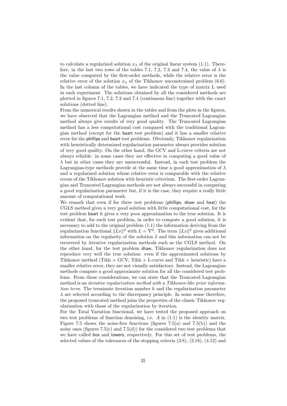to calculate a regularized solution  $x_{\lambda}$  of the original linear system (1.1). Therefore, in the last two rows of the tables 7.1, 7.2, 7.3 and 7.4, the value of  $\lambda$  is the value computed by the first-order methods, while the relative error is the relative error of the solution  $x_{\lambda}$  of the Tikhonov unconstrained problem (6.6). In the last column of the tables, we have indicated the type of matrix L used in each experiment. The solutions obtained by all the considered methods are plotted in figures 7.1, 7.2, 7.3 and 7.4 (continuous line) together with the exact solutions (dotted line).

From the numerical results shown in the tables and from the plots in the figures, we have observed that the Lagrangian method and the Truncated Lagrangian method always give results of very good quality. The Truncated Lagrangian method has a less computational cost compared with the traditional Lagrangian method (except for the baart test problem) and it has a smaller relative error for the phillips and baart test problems. Obviously, Tikhonov regularization with heuristically determined regularization parameter always provides solution of very good quality. On the other hand, the GCV and L-curve criteria are not always reliable: in some cases they are effective in computing a good value of  $\lambda$  but in other cases they are unsuccessful. Instead, in each test problem the Lagrangian-type methods provide at the same time a good approximation of  $\lambda$ and a regularized solution whose relative error is comparable with the relative errors of the Tikhonov solution with heuristic criterium. The first-order Lagrangian and Truncated Lagrangian methods are not always successful in computing a good regularization parameter but, if it is the case, they require a really little amount of computational work.

We remark that even if for three test problems (phillips, shaw and heat) the CGLS method gives a very good solution with little computational cost, for the test problem baart it gives a very poor approximation to the true solution. It is evident that, for such test problem, in order to compute a good solution, it is necessary to add to the original problem (1.1) the information deriving from the regularization functional  $||Lx||^2$  with  $L = \nabla^2$ . The term  $||Lx||^2$  gives additional information on the regularity of the solution  $\tilde{x}$  and this information can not be recovered by iterative regularization methods such as the CGLS method. On the other hand, for the test problem shaw, Tikhonov regularization does not reproduce very well the true solution: even if the approximated solutions by Tikhonov method (Tikh  $+$  GCV, Tikh  $+$  L-curve and Tikh  $+$  heuristic) have a smaller relative error, they are not visually satisfactory. Instead, the Lagrangian methods compute a good approximate solution for all the considered test problems. From these considerations, we can state that the Truncated Lagrangian method is an *iterative regularization method with a Tikhonov-like prior informa*tion term. The terminate iteration number  $k$  and the regularization parameter  $\lambda$  are selected according to the discrepancy principle. In some sense therefore, the proposed truncated method joins the properties of the classic Tikhonov regularization with those of the regularization by iteration.

For the Total Variation functional, we have tested the proposed approach on two test problems of function denoising, i.e.  $A$  in  $(1.1)$  is the identity matrix. Figure 7.5 shows the noise-free functions (figures  $7.5(a)$  and  $7.5(b)$ ) and the noisy ones (figures 7.5(c) and 7.5(d)) for the considered two test problems that we have called box and towers, respectively. For this set of test problems, the selected values of the tolerances of the stopping criteria (3.8), (3.18), (4.12) and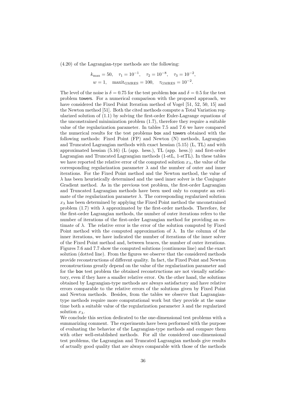(4.20) of the Lagrangian-type methods are the following:

$$
k_{\text{max}} = 50
$$
,  $\tau_1 = 10^{-1}$ ,  $\tau_2 = 10^{-8}$ ,  $\tau_3 = 10^{-2}$ ,  
\n $w = 1$ , maxit<sub>GMRES</sub> = 100,  $\tau_{GMRES} = 10^{-2}$ .

The level of the noise is  $\delta = 0.75$  for the test problem box and  $\delta = 0.5$  for the test problem towers. For a numerical comparison with the proposed approach, we have considered the Fixed Point Iteration method of Vogel [51, 52, 50, 15] and the Newton method [51]. Both the cited methods compute a Total Variation regularized solution of (1.1) by solving the first-order Euler-Lagrange equations of the unconstrained minimization problem (1.7), therefore they require a suitable value of the regularization parameter. In tables 7.5 and 7.6 we have compared the numerical results for the test problems box and towers obtained with the following methods: Fixed Point (FP) and Newton (N) methods, Lagrangian and Truncated Lagrangian methods with exact hessian (5.15) (L, TL) and with approximated hessian (5.16) (L (app. hess.), TL (app. hess.)) and first-order Lagrangian and Truncated Lagrangian methods (1-stL, 1-stTL). In these tables we have reported the relative error of the computed solution  $x_{\lambda}$ , the value of the corresponding regularization parameter  $\lambda$  and the number of outer and inner iterations. For the Fixed Point method and the Newton method, the value of  $\lambda$  has been heuristically determined and the used inner solver is the Conjugate Gradient method. As in the previous test problem, the first-order Lagrangian and Truncated Lagrangian methods have been used only to compute an estimate of the regularization parameter  $\lambda$ . The corresponding regularized solution  $x_{\lambda}$  has been determined by applying the Fixed Point method the unconstrained problem (1.7) with  $\lambda$  approximated by the first-order methods. Therefore, for the first-order Lagrangian methods, the number of outer iterations refers to the number of iterations of the first-order Lagrangian method for providing an estimate of  $\lambda$ . The relative error is the error of the solution computed by Fixed Point method with the computed approximation of  $\lambda$ . In the column of the inner iterations, we have indicated the number of iterations of the inner solver of the Fixed Point method and, between braces, the number of outer iterations. Figures 7.6 and 7.7 show the computed solutions (continuous line) and the exact solution (dotted line). From the figures we observe that the considered methods provide reconstructions of different quality. In fact, the Fixed Point and Newton reconstructions greatly depend on the value of the regularization parameter and for the box test problem the obtained reconstructions are not visually satisfactory, even if they have a smaller relative error. On the other hand, the solutions obtained by Lagrangian-type methods are always satisfactory and have relative errors comparable to the relative errors of the solutions given by Fixed Point and Newton methods. Besides, from the tables we observe that Lagrangiantype methods require more computational work but they provide at the same time both a suitable value of the regularization parameter  $\lambda$  and the regularized solution  $x_{\lambda}$ .

We conclude this section dedicated to the one-dimensional test problems with a summarizing comment. The experiments have been performed with the purpose of evaluating the behavior of the Lagrangian-type methods and compare them with other well-established methods. For all the considered one-dimensional test problems, the Lagrangian and Truncated Lagrangian methods give results of actually good quality that are always comparable with those of the methods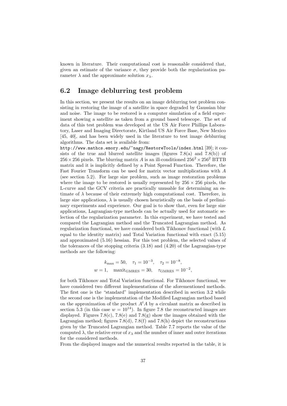known in literature. Their computational cost is reasonable considered that, given an estimate of the variance  $\sigma$ , they provide both the regularization parameter  $\lambda$  and the approximate solution  $x_{\lambda}$ .

#### 6.2 Image deblurring test problem

In this section, we present the results on an image deblurring test problem consisting in restoring the image of a satellite in space degraded by Gaussian blur and noise. The image to be restored is a computer simulation of a field experiment showing a satellite as taken from a ground based telescope. The set of data of this test problem was developed at the US Air Force Phillips Laboratory, Laser and Imaging Directorate, Kirtland US Air Force Base, New Mexico [45, 40], and has been widely used in the literature to test image deblurring algorithms. The data set is available from:

http://www.mathcs.emory.edu/~nagy/RestoreTools/index.html [39]; it consists of the true and blurred satellite images (figures  $7.8(a)$  and  $7.8(b)$ ) of  $256 \times 256$  pixels. The blurring matrix A is an ill-conditioned  $256^2 \times 256^2$  BTTB matrix and it is implicitly defined by a Point Spread Function. Therefore, the Fast Fourier Transform can be used for matrix vector multiplications with A (see section 5.2). For large size problem, such as image restoration problems where the image to be restored is usually represented by  $256 \times 256$  pixels, the L-curve and the GCV criteria are practically unusable for determining an estimate of  $\lambda$  because of their extremely high computational cost. Therefore, in large size applications,  $\lambda$  is usually chosen heuristically on the basis of preliminary experiments and experience. Our goal is to show that, even for large size applications, Lagrangian-type methods can be actually used for automatic selection of the regularization parameter. In this experiment, we have tested and compared the Lagrangian method and the Truncated Lagrangian method. As regularization functional, we have considered both Tikhonov functional (with L equal to the identity matrix) and Total Variation functional with exact (5.15) and approximated (5.16) hessian. For this test problem, the selected values of the tolerances of the stopping criteria (3.18) and (4.20) of the Lagrangian-type methods are the following:

$$
k_{\text{max}} = 50
$$
,  $\tau_1 = 10^{-3}$ ,  $\tau_2 = 10^{-8}$ ,  
 $w = 1$ , maximize<sub>MRES</sub> = 30,  $\tau_{\text{GMRES}} = 10^{-2}$ ,

for both Tikhonov and Total Variation functional. For Tikhonov functional, we have considered two different implementations of the aforementioned methods. The first one is the "standard" implementation described in section 3.2 while the second one is the implementation of the Modified Lagrangian method based on the approximation of the product  $A<sup>t</sup>A$  by a circulant matrix as described in section 5.3 (in this case  $w = 10^{14}$ ). In figure 7.8 the reconstructed images are displayed. Figures 7.8(c), 7.8(e) and 7.8(g) show the images obtained with the Lagrangian method; figures 7.8(d), 7.8(f) and 7.8(h) depict the reconstructions given by the Truncated Lagrangian method. Table 7.7 reports the value of the computed  $\lambda$ , the relative error of  $x_{\lambda}$  and the number of inner and outer iterations for the considered methods.

From the displayed images and the numerical results reported in the table, it is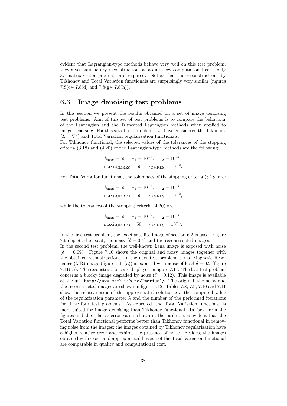evident that Lagrangian-type methods behave very well on this test problem; they gives satisfactory reconstructions at a quite low computational cost: only 37 matrix-vector products are required. Notice that the reconstructions by Tikhonov and Total Variation functionals are surprisingly very similar (figures 7.8(c)- 7.8(d) and 7.8(g)- 7.8(h)).

#### 6.3 Image denoising test problems

In this section we present the results obtained on a set of image denoising test problems. Aim of this set of test problems is to compare the behaviour of the Lagrangian and the Truncated Lagrangian methods when applied to image denoising. For this set of test problems, we have considered the Tikhonov  $(L = \nabla^2)$  and Total Variation regularization functionals.

For Tikhonov functional, the selected values of the tolerances of the stopping criteria (3.18) and (4.20) of the Lagrangian-type methods are the following:

$$
k_{\text{max}} = 50
$$
,  $\tau_1 = 10^{-1}$ ,  $\tau_2 = 10^{-8}$ ,  
maxit<sub>GMRES</sub> = 50,  $\tau_{GMRES} = 10^{-2}$ .

For Total Variation functional, the tolerances of the stopping criteria (3.18) are:

$$
k_{\text{max}} = 50
$$
,  $\tau_1 = 10^{-1}$ ,  $\tau_2 = 10^{-8}$ ,  
maxit<sub>GMRES</sub> = 50,  $\tau_{GMRES} = 10^{-2}$ ,

while the tolerances of the stopping criteria (4.20) are:

$$
k_{\text{max}} = 50
$$
,  $\tau_1 = 10^{-2}$ ,  $\tau_2 = 10^{-8}$ ,  
maxit<sub>GMRES</sub> = 50,  $\tau_{GMRES} = 10^{-4}$ .

In the first test problem, the exact satellite image of section 6.2 is used. Figure 7.9 depicts the exact, the noisy ( $\delta = 0.5$ ) and the reconstructed images.

In the second test problem, the well-known Lena image is exposed with noise  $(\delta = 0.09)$ . Figure 7.10 shows the original and noisy images together with the obtained reconstructions. In the next test problem, a real Magnetic Resonance (MR) image (figure 7.11(a)) is exposed with noise of level  $\delta = 0.2$  (figure 7.11(b)). The reconstructions are displayed in figure 7.11. The last test problem concerns a blocky image degraded by noise  $(\delta = 0.12)$ . This image is available at the url: http://www.math.uib.no/~mariusl/. The original, the noisy and the reconstructed images are shown in figure 7.12. Tables 7.8, 7.9, 7.10 and 7.11 show the relative error of the approximated solution  $x_{\lambda}$ , the computed value of the regularization parameter  $\lambda$  and the number of the performed iterations for these four test problems. As expected, the Total Variation functional is more suited for image denoising than Tikhonov functional. In fact, from the figures and the relative error values shown in the tables, it is evident that the Total Variation functional performs better than Tikhonov functional in removing noise from the images; the images obtained by Tikhonov regularization have a higher relative error and exhibit the presence of noise. Besides, the images obtained with exact and approximated hessian of the Total Variation functional are comparable in quality and computational cost.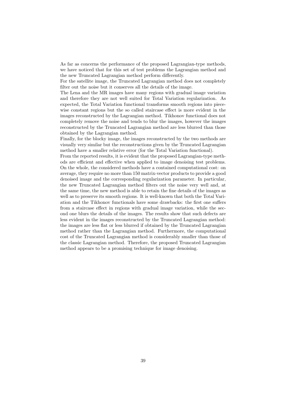As far as concerns the performance of the proposed Lagrangian-type methods, we have noticed that for this set of test problems the Lagrangian method and the new Truncated Lagrangian method perform differently.

For the satellite image, the Truncated Lagrangian method does not completely filter out the noise but it conserves all the details of the image.

The Lena and the MR images have many regions with gradual image variation and therefore they are not well suited for Total Variation regularization. As expected, the Total Variation functional transforms smooth regions into piecewise constant regions but the so called staircase effect is more evident in the images reconstructed by the Lagrangian method. Tikhonov functional does not completely remove the noise and tends to blur the images, however the images reconstructed by the Truncated Lagrangian method are less blurred than those obtained by the Lagrangian method.

Finally, for the blocky image, the images reconstructed by the two methods are visually very similar but the reconstructions given by the Truncated Lagrangian method have a smaller relative error (for the Total Variation functional).

From the reported results, it is evident that the proposed Lagrangian-type methods are efficient and effective when applied to image denoising test problems. On the whole, the considered methods have a contained computational cost: on average, they require no more than 150 matrix-vector products to provide a good denoised image and the corresponding regularization parameter. In particular, the new Truncated Lagrangian method filters out the noise very well and, at the same time, the new method is able to retain the fine details of the images as well as to preserve its smooth regions. It is well-known that both the Total Variation and the Tikhonov functionals have some drawbacks: the first one suffers from a staircase effect in regions with gradual image variation, while the second one blurs the details of the images. The results show that such defects are less evident in the images reconstructed by the Truncated Lagrangian method: the images are less flat or less blurred if obtained by the Truncated Lagrangian method rather than the Lagrangian method. Furthermore, the computational cost of the Truncated Lagrangian method is considerably smaller than those of the classic Lagrangian method. Therefore, the proposed Truncated Lagrangian method appears to be a promising technique for image denoising.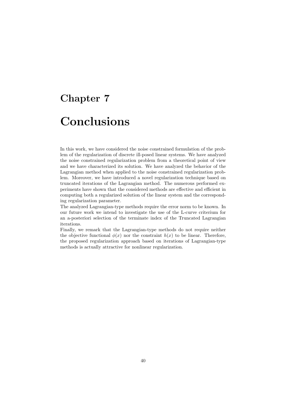# Chapter 7 Conclusions

In this work, we have considered the noise constrained formulation of the problem of the regularization of discrete ill-posed linear systems. We have analyzed the noise constrained regularization problem from a theoretical point of view and we have characterized its solution. We have analyzed the behavior of the Lagrangian method when applied to the noise constrained regularization problem. Moreover, we have introduced a novel regularization technique based on truncated iterations of the Lagrangian method. The numerous performed experiments have shown that the considered methods are effective and efficient in computing both a regularized solution of the linear system and the corresponding regularization parameter.

The analyzed Lagrangian-type methods require the error norm to be known. In our future work we intend to investigate the use of the L-curve criterium for an a-posteriori selection of the terminate index of the Truncated Lagrangian iterations.

Finally, we remark that the Lagrangian-type methods do not require neither the objective functional  $\phi(x)$  nor the constraint  $h(x)$  to be linear. Therefore, the proposed regularization approach based on iterations of Lagrangian-type methods is actually attractive for nonlinear regularization.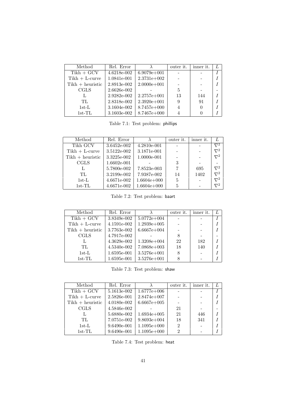| Method             | Rel. Error  |                 | outer it.      | inner it. |  |
|--------------------|-------------|-----------------|----------------|-----------|--|
| $Tikh + GCV$       | 4.6218e-002 | $6.9079e+001$   |                |           |  |
| $Tikh + L-curve$   | 1.0841e-001 | $2.3731e+002$   |                |           |  |
| $Tikh + heuristic$ | 2.8913e-002 | $2.0000e + 001$ |                |           |  |
| <b>CGLS</b>        | 2.6626e-002 |                 | 5              |           |  |
|                    | 2.9282e-002 | $2.2757e+001$   | 13             | 144       |  |
| TL.                | 2.8318e-002 | $2.3920e + 001$ | 9              | 91        |  |
| $1st-L$            | 3.1604e-002 | $8.7457e+000$   | $\overline{4}$ |           |  |
| $1st-TL$           | 3.1603e-002 | $8.7467e+000$   |                |           |  |

Table 7.1: Test problem: phillips

| Method             | Rel. Error  |               | outer it. | inner it. |            |
|--------------------|-------------|---------------|-----------|-----------|------------|
| Tikh GCV           | 3.6452e-002 | 4.2810e-001   |           |           | $\nabla^2$ |
| $Tikh + L-curve$   | 3.5122e-002 | 3.1871e-001   |           |           | $\nabla^2$ |
| $Tikh + heuristic$ | 3.3225e-002 | 1.0000e-001   |           |           | $\nabla^2$ |
| <b>CGLS</b>        | 1.6602e-001 |               | 3         |           |            |
|                    | 5.7800e-002 | 7.8523e-003   |           | 695       | $\nabla^2$ |
| TL.                | 3.2199e-002 | 7.9387e-002   | 14        | 1402      | $\nabla^2$ |
| $1st-L$            | 4.6671e-002 | $1.6604e+000$ | 5         |           | $\nabla^2$ |
| $1st-TL$           | 4.6671e-002 | $1.6604e+000$ | 5         |           | $\nabla^2$ |

Table 7.2: Test problem: baart

| Method             | Rel. Error  |                 | outer it. | inner it. |  |
|--------------------|-------------|-----------------|-----------|-----------|--|
| $Tikh + GCV$       | 3.8349e-002 | $5.0772e+004$   |           |           |  |
| $Tikh + L-curve$   | 4.1591e-002 | $1.2939e+005$   |           |           |  |
| $Tikh + heuristic$ | 3.7763e-002 | $6.6667e+004$   |           |           |  |
| <b>CGLS</b>        | 4.7917e-002 |                 | 8         |           |  |
|                    | 4.3629e-002 | $1.3208e+004$   | 22        | 182       |  |
| TL.                | 4.5340e-002 | $7.0868e+003$   | 18        | 140       |  |
| $1st-L$            | 1.6595e-001 | $3.5276e + 001$ | 8         |           |  |
| $1st-TL$           | 1.6595e-001 | $3.5276e + 001$ | 8         |           |  |

Table 7.3: Test problem: shaw

| Method             | Rel. Error  |               | outer it.      | inner it. |  |
|--------------------|-------------|---------------|----------------|-----------|--|
| $Tikh + GCV$       | 5.1613e-002 | $1.6777e+006$ |                |           |  |
| $Tikh + L-curve$   | 2.5826e-001 | $2.8474e+007$ |                |           |  |
| $Tikh + heuristic$ | 4.0180e-002 | $6.6667e+005$ |                |           |  |
| <b>CGLS</b>        | 4.5846e-002 |               | 21             |           |  |
|                    | 5.6880e-002 | $1.6934e+005$ | 21             | 446       |  |
| TL.                | 7.0751e-002 | $9.8693e+004$ | 18             | 341       |  |
| $1st-L$            | 9.6490e-001 | $1.1095e+000$ | $\overline{2}$ |           |  |
| $1st$ - $TL$       | 9.6490e-001 | $1.1095e+000$ | $\mathfrak{D}$ |           |  |

Table 7.4: Test problem: heat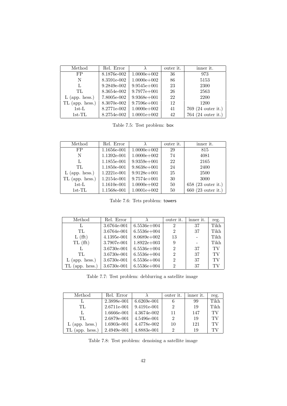| Method           | Rel. Error  |                 | outer it. | inner it.                    |
|------------------|-------------|-----------------|-----------|------------------------------|
| FP               | 8.1876e-002 | $1.0000e + 002$ | 36        | 973                          |
| N                | 8.3591e-002 | $1.0000e + 002$ | 86        | 5153                         |
| L                | 9.2849e-002 | $9.9545e+001$   | 23        | 2300                         |
| TL.              | 8.3654e-002 | $9.7977e+001$   | 26        | 2563                         |
| $L$ (app. hess.) | 7.8005e-002 | $9.9368e + 001$ | 22        | 2200                         |
| TL (app. hess.)  | 8.3070e-002 | $9.7596e + 001$ | 12        | 1200                         |
| $1st-L$          | 8.2771e-002 | $1.0000e + 002$ | 41        | 769 (24 outer it.)           |
| $1st$ -TL        | 8.2754e-002 | $1.0001e+002$   | 42        | 764 $(24 \text{ outer it.})$ |

Table 7.5: Test problem: box

| Method                                        | Rel. Error  |                 | outer it. | inner it.            |
|-----------------------------------------------|-------------|-----------------|-----------|----------------------|
| FP                                            | 1.1656e-001 | $1.0000e + 002$ | 29        | 815                  |
| N                                             | 1.1392e-001 | $1.0000e + 002$ | 74        | 4081                 |
| L                                             | 1.1855e-001 | $9.9359e + 001$ | 22        | 2165                 |
| TL                                            | 1.1850e-001 | $9.8638e + 001$ | 24        | 2400                 |
| $L$ (app. hess.)                              | 1.2221e-001 | $9.9128e + 001$ | 25        | 2500                 |
| $\left(\text{app.} \text{hess.}\right)$<br>TL | 1.2154e-001 | $9.7574e+001$   | 30        | 3000                 |
| $1st-L$                                       | 1.1610e-001 | $1.0000e + 002$ | 50        | $658$ (23 outer it.) |
| $1st$ -TL                                     | 1.1568e-001 | $1.0001e+002$   | 50        | $660$ (23 outer it.) |

Table 7.6: Tets problem: towers

| Method           | Rel. Error  |               | outer it.      | inner it. | reg. |
|------------------|-------------|---------------|----------------|-----------|------|
|                  | 3.6764e-001 | $6.5536e+004$ | 2              | 37        | Tikh |
| TL.              | 3.6764e-001 | $6.5536e+004$ | $\overline{2}$ | 37        | Tikh |
| L(fft)           | 4.1395e-001 | $8.0689e+002$ | 13             |           | Tikh |
| TL(fft)          | 3.7907e-001 | $1.8922e+003$ | 9              |           | Tikh |
| Ι,               | 3.6730e-001 | $6.5536e+004$ | $\overline{2}$ | 37        | TV   |
| TL.              | 3.6730e-001 | $6.5536e+004$ | 2              | 37        | TV   |
| $L$ (app. hess.) | 3.6730e-001 | $6.5536e+004$ | $\overline{2}$ | 37        | TV   |
| (app. hess.)     | 3.6730e-001 | $6.5536e+004$ | 2              | 37        | TV   |

Table 7.7: Test problem: deblurring a satellite image

| Method           | Rel. Error  |               | outer it. | inner it. | reg. |
|------------------|-------------|---------------|-----------|-----------|------|
|                  | 2.3898e-001 | $6.6269e-001$ | 6         | 99        | Tikh |
| TL.              | 2.6711e-001 | 9.4191e-001   | 2         | 19        | Tikh |
|                  | 1.6666e-001 | 4.3674e-002   | 11        | 147       | TV   |
| TL.              | 2.6879e-001 | 4.5496e-001   | 2         | 19        | TV   |
| $L$ (app. hess.) | 1.6903e-001 | 4.4778e-002   | 10        | 121       | TV   |
| (app. hess.)     | 2.4949e-001 | 4.8883e-001   |           | 19        | ТV   |

Table 7.8: Test problem: denoising a satellite image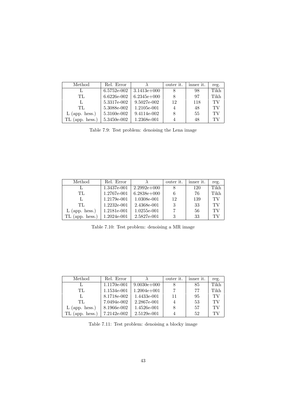| Method           | Rel. Error  |               | outer it. | inner it. | reg. |
|------------------|-------------|---------------|-----------|-----------|------|
|                  | 6.5752e-002 | $3.1413e+000$ |           | 98        | Tikh |
| TL.              | 6.6226e-002 | $6.2345e+000$ |           | 97        | Tikh |
|                  | 5.3317e-002 | 9.5027e-002   | 12        | 118       | TV   |
| TL.              | 5.3088e-002 | 1.2105e-001   |           | 48        | TV   |
| $L$ (app. hess.) | 5.3160e-002 | 9.4114e-002   |           | 55        | TV   |
| $(ap.$ hess.)    | 5.3450e-002 | 1.2368e-001   |           | 48        | TV   |

Table 7.9: Test problem: denoising the Lena image

| Method           | Rel. Error  |               | outer it. | inner it. | reg. |
|------------------|-------------|---------------|-----------|-----------|------|
|                  | 1.3437e-001 | $2.2992e+000$ |           | 120       | Tikh |
| TL.              | 1.2767e-001 | $6.2838e+000$ | 6         | 76        | Tikh |
|                  | 1.2179e-001 | 1.0308e-001   | 12        | 139       | TV   |
| TL.              | 1.2232e-001 | 2.4368e-001   | 3         | 33        | TV   |
| $L$ (app. hess.) | 1.2181e-001 | 1.0255e-001   |           | 56        | TV   |
| (app. hess.)     | 1.2024e-001 | 2.5827e-001   | 3         | 33        | ТV   |

Table 7.10: Test problem: denoising a MR image

| Method                                  | Rel. Error  |                 | outer it. | inner it. | reg. |
|-----------------------------------------|-------------|-----------------|-----------|-----------|------|
|                                         | 1.1170e-001 | $9.0030e + 000$ |           | 85        | Tikh |
| TL.                                     | 1.1534e-001 | $1.2004e+001$   |           | 77        | Tikh |
|                                         | 8.1718e-002 | 1.4433e-001     | 11        | 95        | TV   |
| TL.                                     | 7.0494e-002 | 2.2867e-001     |           | 53        | TV   |
| $L$ (app. hess.)                        | 8.1966e-002 | 1.4526e-001     | 8         | 57        | TV   |
| $\left(\text{app.} \text{hess.}\right)$ | 7.2142e-002 | 2.5129e-001     |           | 52        | ТV   |

Table 7.11: Test problem: denoising a blocky image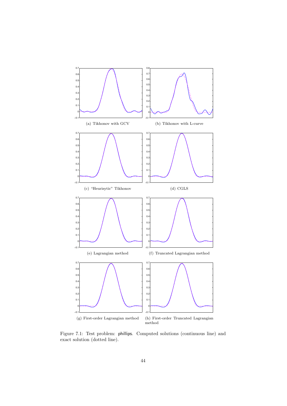

Figure 7.1: Test problem: phillips. Computed solutions (continuous line) and exact solution (dotted line).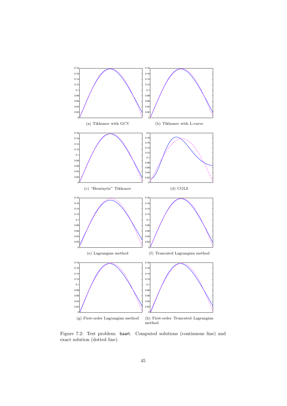

Figure 7.2: Test problem: baart. Computed solutions (continuous line) and exact solution (dotted line).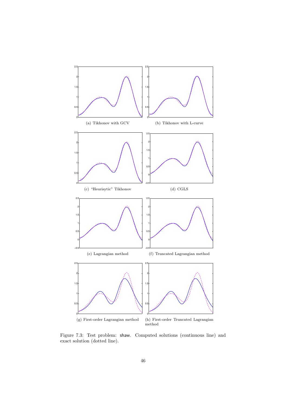

Figure 7.3: Test problem: shaw. Computed solutions (continuous line) and exact solution (dotted line).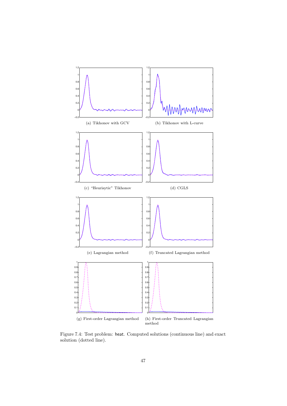

Figure 7.4: Test problem: heat. Computed solutions (continuous line) and exact solution (dotted line).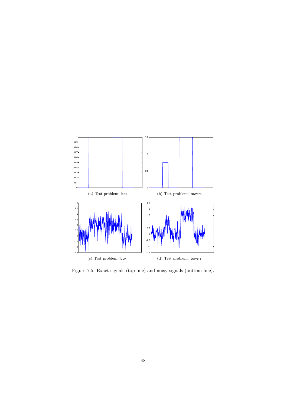

Figure 7.5: Exact signals (top line) and noisy signals (bottom line).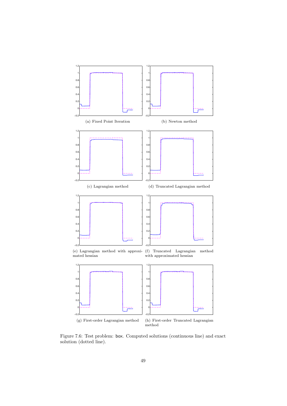

Figure 7.6: Test problem: box. Computed solutions (continuous line) and exact solution (dotted line).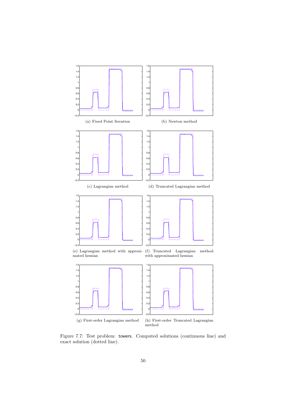

Figure 7.7: Test problem: towers. Computed solutions (continuous line) and exact solution (dotted line).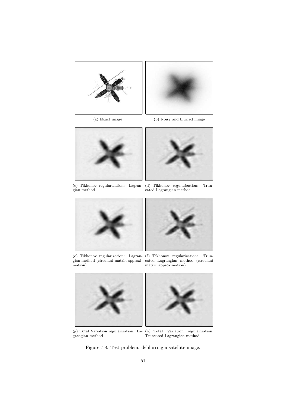



(a) Exact image (b) Noisy and blurred image



(c) Tikhonov regularization: Lagrangian method



(e) Tikhonov regularization: Lagrangian method (circulant matrix approximation)



(f) Tikhonov regularization: Truncated Lagrangian method (circulant matrix approximation)



(g) Total Variation regularization: La-(h) Total Variation regularization: grangian method



Truncated Lagrangian method

Figure 7.8: Test problem: deblurring a satellite image.

(d) Tikhonov regularization: Truncated Lagrangian method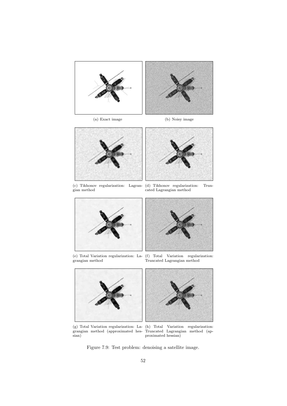

(a) Exact image (b) Noisy image



(c) Tikhonov regularization: Lagrangian method



(d) Tikhonov regularization: Truncated Lagrangian method



(e) Total Variation regularization: Lagrangian method



(f) Total Variation regularization: Truncated Lagrangian method



(g) Total Variation regularization: Lagrangian method (approximated hessian)



(h) Total Variation regularization: Truncated Lagrangian method (approximated hessian)

Figure 7.9: Test problem: denoising a satellite image.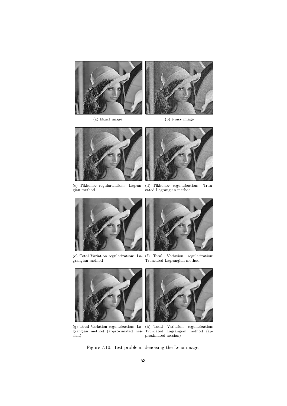

(a) Exact image (b) Noisy image





(c) Tikhonov regularization: Lagrangian method



(d) Tikhonov regularization: Truncated Lagrangian method



(e) Total Variation regularization: Lagrangian method



(f) Total Variation regularization: Truncated Lagrangian method



(g) Total Variation regularization: Lagrangian method (approximated hessian)



(h) Total Variation regularization: Truncated Lagrangian method (approximated hessian)

Figure 7.10: Test problem: denoising the Lena image.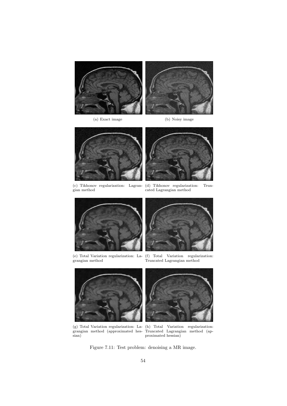





(c) Tikhonov regularization: Lagrangian method



(d) Tikhonov regularization: Truncated Lagrangian method



(e) Total Variation regularization: Lagrangian method



(f) Total Variation regularization: Truncated Lagrangian method



(g) Total Variation regularization: Lagrangian method (approximated hessian)



(h) Total Variation regularization: Truncated Lagrangian method (approximated hessian)

Figure 7.11: Test problem: denoising a MR image.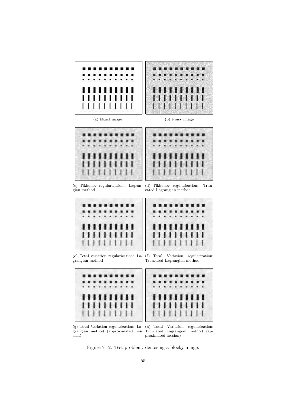

(g) Total Variation regularization: La-(h) Total Variation regularization: grangian method (approximated hes-Truncated Lagrangian method (apsian)

proximated hessian)

Figure 7.12: Test problem: denoising a blocky image.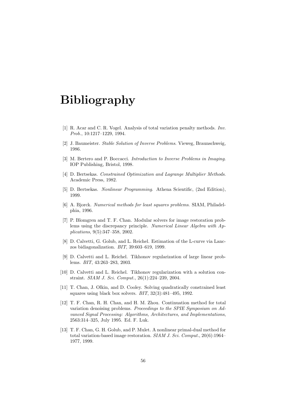## Bibliography

- [1] R. Acar and C. R. Vogel. Analysis of total variation penalty methods. Inv. Prob., 10:1217–1229, 1994.
- [2] J. Baumeister. Stable Solution of Inverse Problems. Vieweg, Braunschweig, 1986.
- [3] M. Bertero and P. Boccacci. Introduction to Inverse Problems in Imaging. IOP Publishing, Bristol, 1998.
- [4] D. Bertsekas. Constrained Optimization and Lagrange Multiplier Methods. Academic Press, 1982.
- [5] D. Bertsekas. Nonlinear Programming. Athena Scientific, (2nd Edition), 1999.
- [6] A. Bjorck. Numerical methods for least squares problems. SIAM, Philadelphia, 1996.
- [7] P. Blomgren and T. F. Chan. Modular solvers for image restoration problems using the discrepancy principle. Numerical Linear Algebra with Applications, 9(5):347–358, 2002.
- [8] D. Calvetti, G. Golub, and L. Reichel. Estimation of the L-curve via Lanczos bidiagonalization. BIT, 39:603–619, 1999.
- [9] D. Calvetti and L. Reichel. Tikhonov regularization of large linear problems. BIT, 43:263–283, 2003.
- [10] D. Calvetti and L. Reichel. Tikhonov regularization with a solution constraint. SIAM J. Sci. Comput., 26(1):224–239, 2004.
- [11] T. Chan, J. Olkin, and D. Cooley. Solving quadratically constrained least squares using black box solvers. BIT, 32(3):481–495, 1992.
- [12] T. F. Chan, R. H. Chan, and H. M. Zhou. Continuation method for total variation denoising problems. Proceedings to the SPIE Symposium on Advanced Signal Processing: Algorithms, Architectures, and Implementations, 2563:314–325, July 1995. Ed. F. Luk.
- [13] T. F. Chan, G. H. Golub, and P. Mulet. A nonlinear primal-dual method for total variation-based image restoration. SIAM J. Sci. Comput., 20(6):1964– 1977, 1999.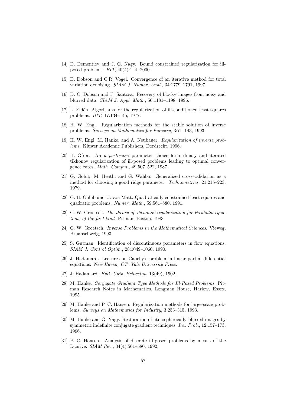- [14] D. Dementiev and J. G. Nagy. Bound constrained regularization for illposed problems. BIT, 40(4):1–4, 2000.
- [15] D. Dobson and C.R. Vogel. Convergence of an iterative method for total variation denoising. SIAM J. Numer. Anal., 34:1779–1791, 1997.
- [16] D. C. Dobson and F. Santosa. Recovery of blocky images from noisy and blurred data. SIAM J. Appl. Math., 56:1181–1198, 1996.
- [17] L. Eld´en. Algorithms for the regularization of ill-conditioned least squares problems. BIT, 17:134–145, 1977.
- [18] H. W. Engl. Regularization methods for the stable solution of inverse problems. Surveys on Mathematics for Industry, 3:71–143, 1993.
- [19] H. W. Engl, M. Hanke, and A. Neubauer. Regularization of inverse problems. Kluwer Academic Publishers, Dordrecht, 1996.
- [20] H. Gfrer. An a posteriori parameter choice for ordinary and iterated tikhonov regularization of ill-posed problems leading to optimal convergence rates. Math. Comput., 49:507–522, 1987.
- [21] G. Golub, M. Heath, and G. Wahba. Generalized cross-validation as a method for choosing a good ridge parameter. Technometrics, 21:215–223, 1979.
- [22] G. H. Golub and U. von Matt. Quadratically constrained least squares and quadratic problems. Numer. Math., 59:561–580, 1991.
- [23] C. W. Groetsch. The theory of Tikhonov regularization for Fredholm equations of the first kind. Pitman, Boston, 1983.
- [24] C. W. Groetsch. Inverse Problems in the Mathematical Sciences. Vieweg, Bruanschweig, 1993.
- [25] S. Gutman. Identification of discontinuous parameters in flow equations. SIAM J. Control Optim., 28:1049–1060, 1990.
- [26] J. Hadamard. Lectures on Cauchy's problem in linear partial differential equations. New Haven, CT: Yale University Press.
- [27] J. Hadamard. Bull. Univ. Princeton, 13(49), 1902.
- [28] M. Hanke. *Conjugate Gradient Type Methods for Ill-Posed Problems*. Pitman Research Notes in Mathematics, Longman House, Harlow, Essex, 1995.
- [29] M. Hanke and P. C. Hansen. Regularization methods for large-scale problems. Surveys on Mathematics for Industry, 3:253–315, 1993.
- [30] M. Hanke and G. Nagy. Restoration of atmospherically blurred images by symmetric indefinite conjugate gradient techniques. Inv. Prob., 12:157–173, 1996.
- [31] P. C. Hansen. Analysis of discrete ill-posed problems by means of the L-curve. SIAM Rev., 34(4):561–580, 1992.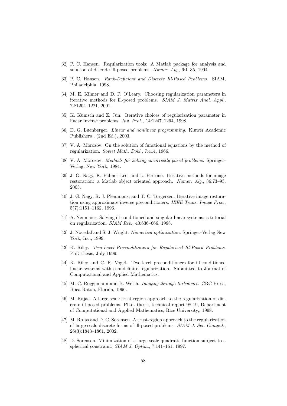- [32] P. C. Hansen. Regularization tools: A Matlab package for analysis and solution of discrete ill-posed problems. Numer. Alg., 6:1–35, 1994.
- [33] P. C. Hansen. Rank-Deficient and Discrete Ill-Posed Problems. SIAM, Philadelphia, 1998.
- [34] M. E. Kilmer and D. P. O'Leary. Choosing regularization parameters in iterative methods for ill-posed problems. SIAM J. Matrix Anal. Appl., 22:1204–1221, 2001.
- [35] K. Kunisch and Z. Jun. Iterative choices of regularization parameter in linear inverse problems. Inv. Prob., 14:1247–1264, 1998.
- [36] D. G. Luenberger. Linear and nonlinear programming. Kluwer Academic Publishers , (2nd Ed.), 2003.
- [37] V. A. Morozov. On the solution of functional equations by the method of regularization. Soviet Math. Dokl., 7:414, 1966.
- [38] V. A. Morozov. *Methods for solving incorrectly posed problems*. Springer-Verlag, New York, 1984.
- [39] J. G. Nagy, K. Palmer Lee, and L. Perrone. Iterative methods for image restoration: a Matlab object oriented approach. Numer. Alg., 36:73–93, 2003.
- [40] J. G. Nagy, R. J. Plemmons, and T. C. Torgersen. Iterative image restoration using approximate inverse preconditioners. IEEE Trans. Image Proc., 5(7):1151–1162, 1996.
- [41] A. Neumaier. Solving ill-conditioned and singular linear systems: a tutorial on regularization. SIAM Rev., 40:636–666, 1998.
- [42] J. Nocedal and S. J. Wright. Numerical optimization. Springer-Verlag New York, Inc., 1999.
- [43] K. Riley. Two-Level Preconditioners for Regularized Ill-Posed Problems. PhD thesis, July 1999.
- [44] K. Riley and C. R. Vogel. Two-level preconditioners for ill-conditioned linear systems with semidefinite regularization. Submitted to Journal of Computational and Applied Mathematics.
- [45] M. C. Roggemann and B. Welsh. Imaging through torbolence. CRC Press, Boca Raton, Florida, 1996.
- [46] M. Rojas. A large-scale trust-region approach to the regularization of discrete ill-posed problems. Ph.d. thesis, technical report 98-19, Department of Computational and Applied Mathematics, Rice University,, 1998.
- [47] M. Rojas and D. C. Sorensen. A trust-region approach to the regularization of large-scale discrete forms of ill-posed problems. SIAM J. Sci. Comput., 26(3):1843–1861, 2002.
- [48] D. Sorensen. Minimization of a large-scale quadratic function subject to a spherical constraint. SIAM J. Optim., 7:141–161, 1997.